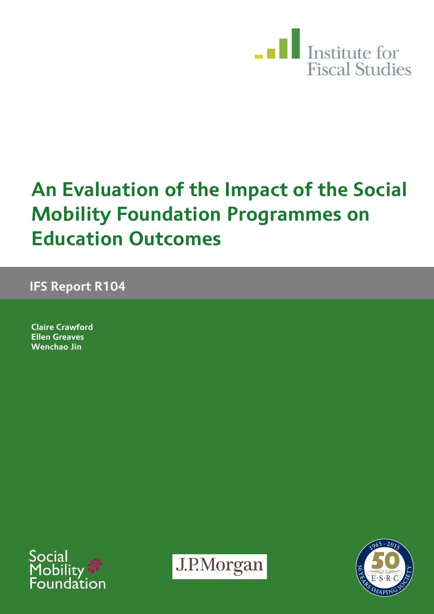

# **An Evaluation of the Impact of the Social Mobility Foundation Programmes on Education Outcomes**

**IFS Report R104**

**Claire Crawford Ellen Greaves Wenchao Jin**





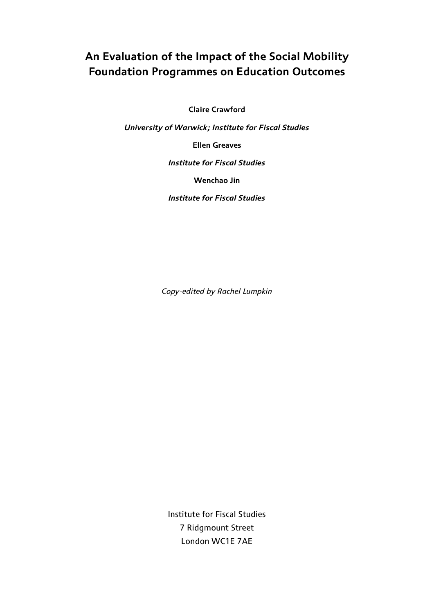### **An Evaluation of the Impact of the Social Mobility Foundation Programmes on Education Outcomes**

**Claire Crawford**

*University of Warwick; Institute for Fiscal Studies*

**Ellen Greaves**

*Institute for Fiscal Studies*

**Wenchao Jin**

*Institute for Fiscal Studies*

*Copy-edited by Rachel Lumpkin*

Institute for Fiscal Studies 7 Ridgmount Street London WC1E 7AE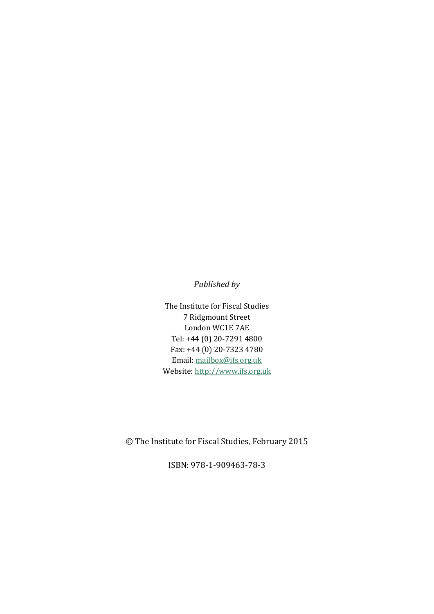*Published by*

The Institute for Fiscal Studies 7 Ridgmount Street London WC1E 7AE Tel: +44 (0) 20-7291 4800 Fax: +44 (0) 20-7323 4780 Email: mailbox@ifs.org.uk Website: http://www.ifs.org.uk

© The Institute for Fiscal Studies, February 2015

ISBN: 978-1-909463-78-3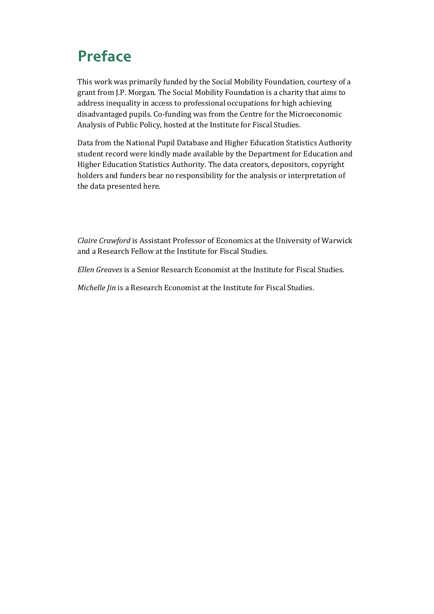## **Preface**

This work was primarily funded by the Social Mobility Foundation, courtesy of a grant from J.P. Morgan. The Social Mobility Foundation is a charity that aims to address inequality in access to professional occupations for high achieving disadvantaged pupils. Co-funding was from the [Centre for the Microeconomic](http://en.wikipedia.org/wiki/Institute_for_Fiscal_Studies%23Centre_for_the_Microeconomic_Analysis_of_Public_Policy)  [Analysis of Public Policy,](http://en.wikipedia.org/wiki/Institute_for_Fiscal_Studies%23Centre_for_the_Microeconomic_Analysis_of_Public_Policy) hosted at the Institute for Fiscal Studies.

Data from the National Pupil Database and Higher Education Statistics Authority student record were kindly made available by the Department for Education and Higher Education Statistics Authority. The data creators, depositors, copyright holders and funders bear no responsibility for the analysis or interpretation of the data presented here.

*Claire Crawford* is Assistant Professor of Economics at the University of Warwick and a Research Fellow at the Institute for Fiscal Studies.

*Ellen Greaves* is a Senior Research Economist at the Institute for Fiscal Studies.

*Michelle Jin* is a Research Economist at the Institute for Fiscal Studies.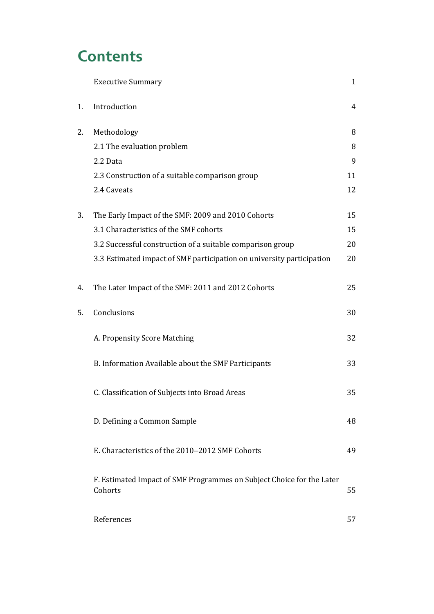## **Contents**

|    | <b>Executive Summary</b>                                                         | $\mathbf{1}$ |
|----|----------------------------------------------------------------------------------|--------------|
| 1. | Introduction                                                                     | 4            |
| 2. | Methodology                                                                      | 8            |
|    | 2.1 The evaluation problem                                                       | 8            |
|    | 2.2 Data                                                                         | 9            |
|    | 2.3 Construction of a suitable comparison group                                  | 11           |
|    | 2.4 Caveats                                                                      | 12           |
| 3. | The Early Impact of the SMF: 2009 and 2010 Cohorts                               | 15           |
|    | 3.1 Characteristics of the SMF cohorts                                           | 15           |
|    | 3.2 Successful construction of a suitable comparison group                       | 20           |
|    | 3.3 Estimated impact of SMF participation on university participation            | 20           |
| 4. | The Later Impact of the SMF: 2011 and 2012 Cohorts                               | 25           |
| 5. | Conclusions                                                                      | 30           |
|    | A. Propensity Score Matching                                                     | 32           |
|    | B. Information Available about the SMF Participants                              | 33           |
|    | C. Classification of Subjects into Broad Areas                                   | 35           |
|    | D. Defining a Common Sample                                                      | 48           |
|    | E. Characteristics of the 2010–2012 SMF Cohorts                                  | 49           |
|    | F. Estimated Impact of SMF Programmes on Subject Choice for the Later<br>Cohorts | 55           |
|    | References                                                                       | 57           |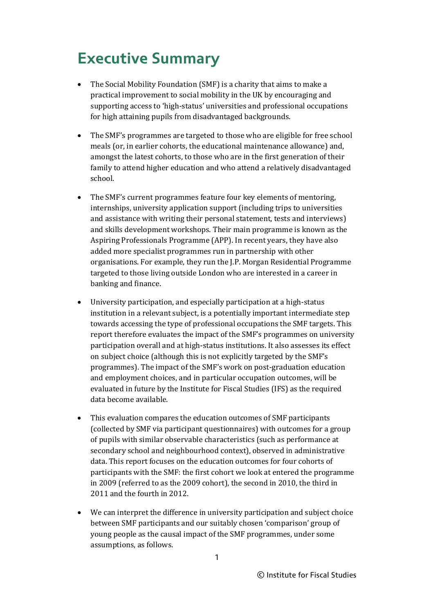### **Executive Summary**

- The Social Mobility Foundation (SMF) is a charity that aims to make a practical improvement to social mobility in the UK by encouraging and supporting access to 'high-status' universities and professional occupations for high attaining pupils from disadvantaged backgrounds.
- The SMF's programmes are targeted to those who are eligible for free school meals (or, in earlier cohorts, the educational maintenance allowance) and, amongst the latest cohorts, to those who are in the first generation of their family to attend higher education and who attend a relatively disadvantaged school.
- The SMF's current programmes feature four key elements of mentoring, internships, university application support (including trips to universities and assistance with writing their personal statement, tests and interviews) and skills development workshops. Their main programme is known as the Aspiring Professionals Programme (APP). In recent years, they have also added more specialist programmes run in partnership with other organisations. For example, they run the J.P. Morgan Residential Programme targeted to those living outside London who are interested in a career in banking and finance.
- University participation, and especially participation at a high-status institution in a relevant subject, is a potentially important intermediate step towards accessing the type of professional occupations the SMF targets. This report therefore evaluates the impact of the SMF's programmes on university participation overall and at high-status institutions. It also assesses its effect on subject choice (although this is not explicitly targeted by the SMF's programmes). The impact of the SMF's work on post-graduation education and employment choices, and in particular occupation outcomes, will be evaluated in future by the Institute for Fiscal Studies (IFS) as the required data become available.
- This evaluation compares the education outcomes of SMF participants (collected by SMF via participant questionnaires) with outcomes for a group of pupils with similar observable characteristics (such as performance at secondary school and neighbourhood context), observed in administrative data. This report focuses on the education outcomes for four cohorts of participants with the SMF: the first cohort we look at entered the programme in 2009 (referred to as the 2009 cohort), the second in 2010, the third in 2011 and the fourth in 2012.
- We can interpret the difference in university participation and subject choice between SMF participants and our suitably chosen 'comparison' group of young people as the causal impact of the SMF programmes, under some assumptions, as follows.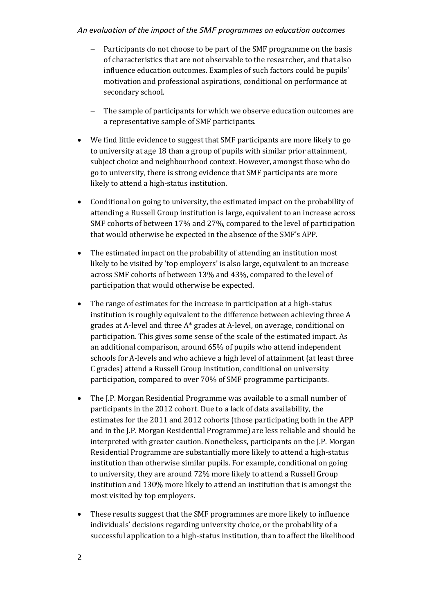#### *An evaluation of the impact of the SMF programmes on education outcomes*

- Participants do not choose to be part of the SMF programme on the basis of characteristics that are not observable to the researcher, and that also influence education outcomes. Examples of such factors could be pupils' motivation and professional aspirations, conditional on performance at secondary school.
- The sample of participants for which we observe education outcomes are a representative sample of SMF participants.
- We find little evidence to suggest that SMF participants are more likely to go to university at age 18 than a group of pupils with similar prior attainment, subject choice and neighbourhood context. However, amongst those who do go to university, there is strong evidence that SMF participants are more likely to attend a high-status institution.
- Conditional on going to university, the estimated impact on the probability of attending a Russell Group institution is large, equivalent to an increase across SMF cohorts of between 17% and 27%, compared to the level of participation that would otherwise be expected in the absence of the SMF's APP.
- The estimated impact on the probability of attending an institution most likely to be visited by 'top employers' is also large, equivalent to an increase across SMF cohorts of between 13% and 43%, compared to the level of participation that would otherwise be expected.
- The range of estimates for the increase in participation at a high-status institution is roughly equivalent to the difference between achieving three A grades at A-level and three A\* grades at A-level, on average, conditional on participation. This gives some sense of the scale of the estimated impact. As an additional comparison, around 65% of pupils who attend independent schools for A-levels and who achieve a high level of attainment (at least three C grades) attend a Russell Group institution, conditional on university participation, compared to over 70% of SMF programme participants.
- The J.P. Morgan Residential Programme was available to a small number of participants in the 2012 cohort. Due to a lack of data availability, the estimates for the 2011 and 2012 cohorts (those participating both in the APP and in the J.P. Morgan Residential Programme) are less reliable and should be interpreted with greater caution. Nonetheless, participants on the J.P. Morgan Residential Programme are substantially more likely to attend a high-status institution than otherwise similar pupils. For example, conditional on going to university, they are around 72% more likely to attend a Russell Group institution and 130% more likely to attend an institution that is amongst the most visited by top employers.
- These results suggest that the SMF programmes are more likely to influence individuals' decisions regarding university choice, or the probability of a successful application to a high-status institution, than to affect the likelihood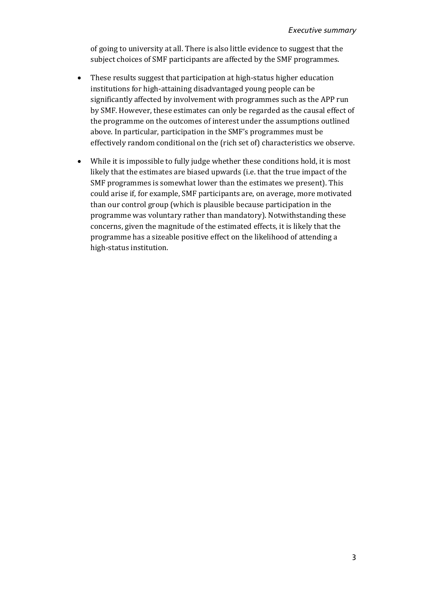of going to university at all. There is also little evidence to suggest that the subject choices of SMF participants are affected by the SMF programmes.

- These results suggest that participation at high-status higher education institutions for high-attaining disadvantaged young people can be significantly affected by involvement with programmes such as the APP run by SMF. However, these estimates can only be regarded as the causal effect of the programme on the outcomes of interest under the assumptions outlined above. In particular, participation in the SMF's programmes must be effectively random conditional on the (rich set of) characteristics we observe.
- While it is impossible to fully judge whether these conditions hold, it is most likely that the estimates are biased upwards (i.e. that the true impact of the SMF programmes is somewhat lower than the estimates we present). This could arise if, for example, SMF participants are, on average, more motivated than our control group (which is plausible because participation in the programme was voluntary rather than mandatory). Notwithstanding these concerns, given the magnitude of the estimated effects, it is likely that the programme has a sizeable positive effect on the likelihood of attending a high-status institution.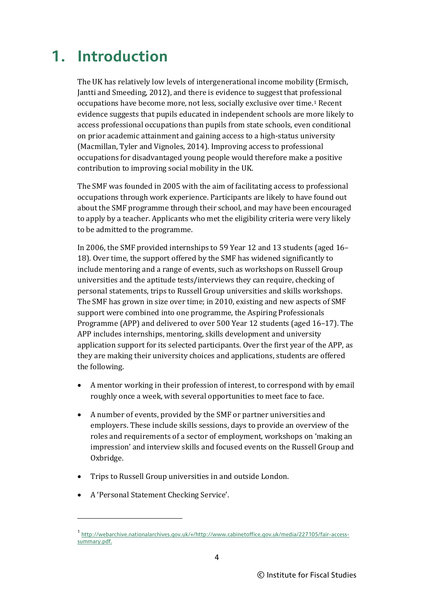## **1. Introduction**

The UK has relatively low levels of intergenerational income mobility (Ermisch, Jantti and Smeeding, 2012), and there is evidence to suggest that professional occupations have become more, not less, socially exclusive over time.[1](#page-9-0) Recent evidence suggests that pupils educated in independent schools are more likely to access professional occupations than pupils from state schools, even conditional on prior academic attainment and gaining access to a high-status university (Macmillan, Tyler and Vignoles, 2014). Improving access to professional occupations for disadvantaged young people would therefore make a positive contribution to improving social mobility in the UK.

The SMF was founded in 2005 with the aim of facilitating access to professional occupations through work experience. Participants are likely to have found out about the SMF programme through their school, and may have been encouraged to apply by a teacher. Applicants who met the eligibility criteria were very likely to be admitted to the programme.

In 2006, the SMF provided internships to 59 Year 12 and 13 students (aged 16– 18). Over time, the support offered by the SMF has widened significantly to include mentoring and a range of events, such as workshops on Russell Group universities and the aptitude tests/interviews they can require, checking of personal statements, trips to Russell Group universities and skills workshops. The SMF has grown in size over time; in 2010, existing and new aspects of SMF support were combined into one programme, the Aspiring Professionals Programme (APP) and delivered to over 500 Year 12 students (aged 16–17). The APP includes internships, mentoring, skills development and university application support for its selected participants. Over the first year of the APP, as they are making their university choices and applications, students are offered the following.

- A mentor working in their profession of interest, to correspond with by email roughly once a week, with several opportunities to meet face to face.
- A number of events, provided by the SMF or partner universities and employers. These include skills sessions, days to provide an overview of the roles and requirements of a sector of employment, workshops on 'making an impression' and interview skills and focused events on the Russell Group and Oxbridge.
- Trips to Russell Group universities in and outside London.
- A 'Personal Statement Checking Service'.

<span id="page-9-0"></span><sup>1</sup> [http://webarchive.nationalarchives.gov.uk/+/http://www.cabinetoffice.gov.uk/media/227105/fair-access](http://webarchive.nationalarchives.gov.uk/+/http:/www.cabinetoffice.gov.uk/media/227105/fair-access-summary.pdf)[summary.pdf.](http://webarchive.nationalarchives.gov.uk/+/http:/www.cabinetoffice.gov.uk/media/227105/fair-access-summary.pdf)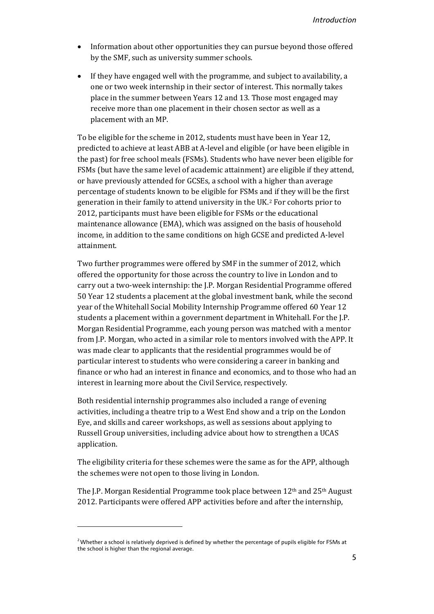- Information about other opportunities they can pursue beyond those offered by the SMF, such as university summer schools.
- If they have engaged well with the programme, and subject to availability, a one or two week internship in their sector of interest. This normally takes place in the summer between Years 12 and 13. Those most engaged may receive more than one placement in their chosen sector as well as a placement with an MP.

To be eligible for the scheme in 2012, students must have been in Year 12, predicted to achieve at least ABB at A-level and eligible (or have been eligible in the past) for free school meals (FSMs). Students who have never been eligible for FSMs (but have the same level of academic attainment) are eligible if they attend, or have previously attended for GCSEs, a school with a higher than average percentage of students known to be eligible for FSMs and if they will be the first generation in their family to attend university in the UK.[2](#page-10-0) For cohorts prior to 2012, participants must have been eligible for FSMs or the educational maintenance allowance (EMA), which was assigned on the basis of household income, in addition to the same conditions on high GCSE and predicted A-level attainment.

Two further programmes were offered by SMF in the summer of 2012, which offered the opportunity for those across the country to live in London and to carry out a two-week internship: the J.P. Morgan Residential Programme offered 50 Year 12 students a placement at the global investment bank, while the second year of the Whitehall Social Mobility Internship Programme offered 60 Year 12 students a placement within a government department in Whitehall. For the J.P. Morgan Residential Programme, each young person was matched with a mentor from J.P. Morgan, who acted in a similar role to mentors involved with the APP. It was made clear to applicants that the residential programmes would be of particular interest to students who were considering a career in banking and finance or who had an interest in finance and economics, and to those who had an interest in learning more about the Civil Service, respectively.

Both residential internship programmes also included a range of evening activities, including a theatre trip to a West End show and a trip on the London Eye, and skills and career workshops, as well as sessions about applying to Russell Group universities, including advice about how to strengthen a UCAS application.

The eligibility criteria for these schemes were the same as for the APP, although the schemes were not open to those living in London.

The J.P. Morgan Residential Programme took place between  $12<sup>th</sup>$  and  $25<sup>th</sup>$  August 2012. Participants were offered APP activities before and after the internship,

<span id="page-10-0"></span><sup>&</sup>lt;sup>2</sup> Whether a school is relatively deprived is defined by whether the percentage of pupils eligible for FSMs at the school is higher than the regional average.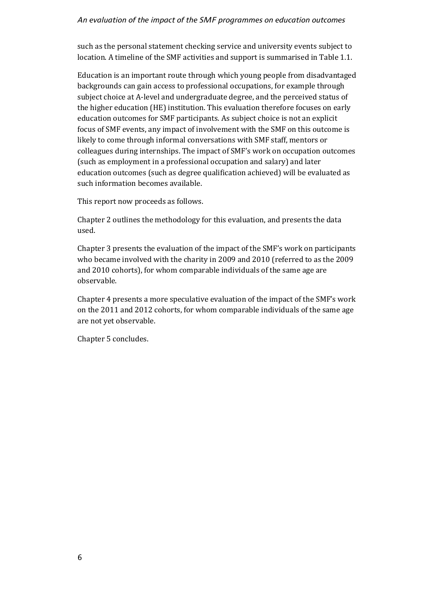#### *An evaluation of the impact of the SMF programmes on education outcomes*

such as the personal statement checking service and university events subject to location. A timeline of the SMF activities and support is summarised in Table 1.1.

Education is an important route through which young people from disadvantaged backgrounds can gain access to professional occupations, for example through subject choice at A-level and undergraduate degree, and the perceived status of the higher education (HE) institution. This evaluation therefore focuses on early education outcomes for SMF participants. As subject choice is not an explicit focus of SMF events, any impact of involvement with the SMF on this outcome is likely to come through informal conversations with SMF staff, mentors or colleagues during internships. The impact of SMF's work on occupation outcomes (such as employment in a professional occupation and salary) and later education outcomes (such as degree qualification achieved) will be evaluated as such information becomes available.

This report now proceeds as follows.

Chapter 2 outlines the methodology for this evaluation, and presents the data used.

Chapter 3 presents the evaluation of the impact of the SMF's work on participants who became involved with the charity in 2009 and 2010 (referred to as the 2009 and 2010 cohorts), for whom comparable individuals of the same age are observable.

Chapter 4 presents a more speculative evaluation of the impact of the SMF's work on the 2011 and 2012 cohorts, for whom comparable individuals of the same age are not yet observable.

Chapter 5 concludes.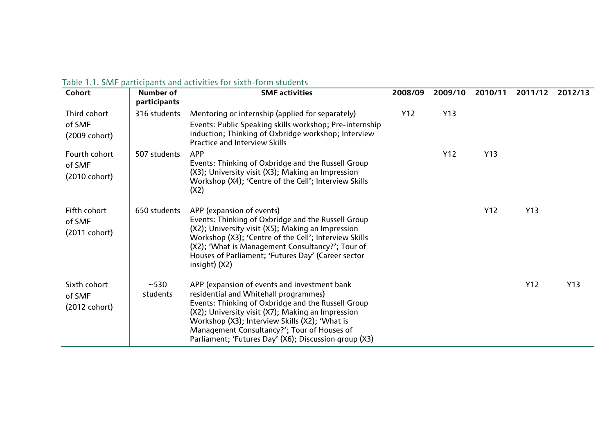|  | Table 1.1. SMF participants and activities for sixth-form students |  |  |  |
|--|--------------------------------------------------------------------|--|--|--|
|--|--------------------------------------------------------------------|--|--|--|

| Cohort                  | Number of<br>participants | <b>SMF</b> activities                                                                                                           | 2008/09 | 2009/10 | 2010/11 | 2011/12 | 2012/13 |
|-------------------------|---------------------------|---------------------------------------------------------------------------------------------------------------------------------|---------|---------|---------|---------|---------|
| Third cohort            | 316 students              | Mentoring or internship (applied for separately)                                                                                | Y12     | Y13     |         |         |         |
| of SMF                  |                           | Events: Public Speaking skills workshop; Pre-internship                                                                         |         |         |         |         |         |
| (2009 cohort)           |                           | induction; Thinking of Oxbridge workshop; Interview<br><b>Practice and Interview Skills</b>                                     |         |         |         |         |         |
| Fourth cohort           | 507 students              | <b>APP</b>                                                                                                                      |         | Y12     | Y13     |         |         |
| of SMF                  |                           | Events: Thinking of Oxbridge and the Russell Group                                                                              |         |         |         |         |         |
| $(2010 \text{ cohort})$ |                           | (X3); University visit (X3); Making an Impression<br>Workshop (X4); 'Centre of the Cell'; Interview Skills<br>(X <sub>2</sub> ) |         |         |         |         |         |
| Fifth cohort            | 650 students              | APP (expansion of events)                                                                                                       |         |         | Y12     | Y13     |         |
| of SMF                  |                           | Events: Thinking of Oxbridge and the Russell Group<br>(X2); University visit (X5); Making an Impression                         |         |         |         |         |         |
| $(2011 \text{ cohort})$ |                           | Workshop (X3); 'Centre of the Cell'; Interview Skills                                                                           |         |         |         |         |         |
|                         |                           | (X2); 'What is Management Consultancy?'; Tour of<br>Houses of Parliament; 'Futures Day' (Career sector                          |         |         |         |         |         |
|                         |                           | $insight)$ (X2)                                                                                                                 |         |         |         |         |         |
| Sixth cohort            | $~1 - 530$                | APP (expansion of events and investment bank                                                                                    |         |         |         | Y12     | Y13     |
| of SMF                  | students                  | residential and Whitehall programmes)                                                                                           |         |         |         |         |         |
| $(2012 \text{ cohort})$ |                           | Events: Thinking of Oxbridge and the Russell Group<br>(X2); University visit (X7); Making an Impression                         |         |         |         |         |         |
|                         |                           | Workshop (X3); Interview Skills (X2); 'What is                                                                                  |         |         |         |         |         |
|                         |                           | Management Consultancy?'; Tour of Houses of                                                                                     |         |         |         |         |         |
|                         |                           | Parliament; 'Futures Day' (X6); Discussion group (X3)                                                                           |         |         |         |         |         |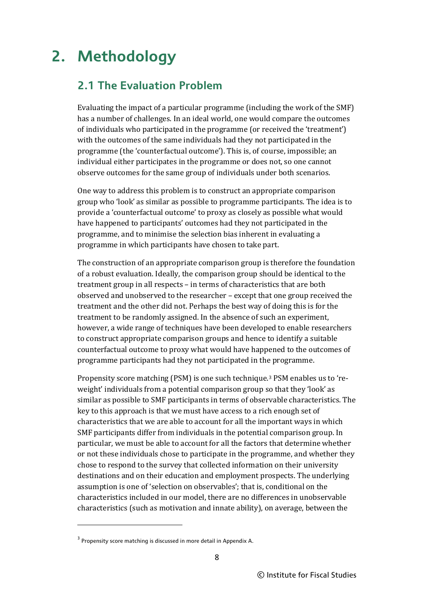## **2. Methodology**

### **2.1 The Evaluation Problem**

Evaluating the impact of a particular programme (including the work of the SMF) has a number of challenges. In an ideal world, one would compare the outcomes of individuals who participated in the programme (or received the 'treatment') with the outcomes of the same individuals had they not participated in the programme (the 'counterfactual outcome'). This is, of course, impossible; an individual either participates in the programme or does not, so one cannot observe outcomes for the same group of individuals under both scenarios.

One way to address this problem is to construct an appropriate comparison group who 'look' as similar as possible to programme participants. The idea is to provide a 'counterfactual outcome' to proxy as closely as possible what would have happened to participants' outcomes had they not participated in the programme, and to minimise the selection bias inherent in evaluating a programme in which participants have chosen to take part.

The construction of an appropriate comparison group is therefore the foundation of a robust evaluation. Ideally, the comparison group should be identical to the treatment group in all respects – in terms of characteristics that are both observed and unobserved to the researcher – except that one group received the treatment and the other did not. Perhaps the best way of doing this is for the treatment to be randomly assigned. In the absence of such an experiment, however, a wide range of techniques have been developed to enable researchers to construct appropriate comparison groups and hence to identify a suitable counterfactual outcome to proxy what would have happened to the outcomes of programme participants had they not participated in the programme.

Propensity score matching (PSM) is one such technique.[3](#page-13-0) PSM enables us to 'reweight' individuals from a potential comparison group so that they 'look' as similar as possible to SMF participants in terms of observable characteristics. The key to this approach is that we must have access to a rich enough set of characteristics that we are able to account for all the important ways in which SMF participants differ from individuals in the potential comparison group. In particular, we must be able to account for all the factors that determine whether or not these individuals chose to participate in the programme, and whether they chose to respond to the survey that collected information on their university destinations and on their education and employment prospects. The underlying assumption is one of 'selection on observables'; that is, conditional on the characteristics included in our model, there are no differences in unobservable characteristics (such as motivation and innate ability), on average, between the

<span id="page-13-0"></span><sup>3</sup> Propensity score matching is discussed in more detail in Appendix A.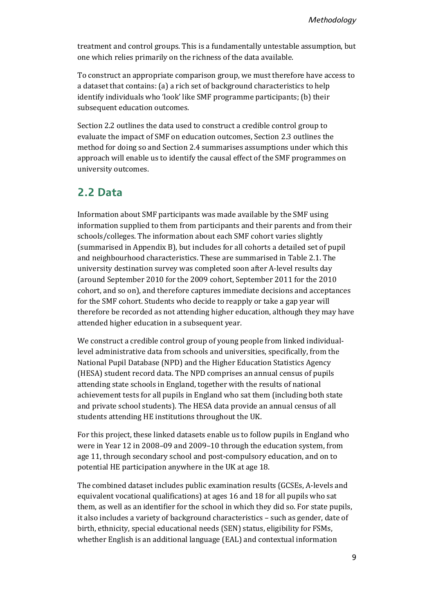treatment and control groups. This is a fundamentally untestable assumption, but one which relies primarily on the richness of the data available.

To construct an appropriate comparison group, we must therefore have access to a dataset that contains: (a) a rich set of background characteristics to help identify individuals who 'look' like SMF programme participants; (b) their subsequent education outcomes.

Section 2.2 outlines the data used to construct a credible control group to evaluate the impact of SMF on education outcomes, Section 2.3 outlines the method for doing so and Section 2.4 summarises assumptions under which this approach will enable us to identify the causal effect of the SMF programmes on university outcomes.

#### **2.2 Data**

Information about SMF participants was made available by the SMF using information supplied to them from participants and their parents and from their schools/colleges. The information about each SMF cohort varies slightly (summarised in Appendix B), but includes for all cohorts a detailed set of pupil and neighbourhood characteristics. These are summarised in Table 2.1. The university destination survey was completed soon after A-level results day (around September 2010 for the 2009 cohort, September 2011 for the 2010 cohort, and so on), and therefore captures immediate decisions and acceptances for the SMF cohort. Students who decide to reapply or take a gap year will therefore be recorded as not attending higher education, although they may have attended higher education in a subsequent year.

We construct a credible control group of young people from linked individuallevel administrative data from schools and universities, specifically, from the National Pupil Database (NPD) and the Higher Education Statistics Agency (HESA) student record data. The NPD comprises an annual census of pupils attending state schools in England, together with the results of national achievement tests for all pupils in England who sat them (including both state and private school students). The HESA data provide an annual census of all students attending HE institutions throughout the UK.

For this project, these linked datasets enable us to follow pupils in England who were in Year 12 in 2008–09 and 2009–10 through the education system, from age 11, through secondary school and post-compulsory education, and on to potential HE participation anywhere in the UK at age 18.

The combined dataset includes public examination results (GCSEs, A-levels and equivalent vocational qualifications) at ages 16 and 18 for all pupils who sat them, as well as an identifier for the school in which they did so. For state pupils, it also includes a variety of background characteristics – such as gender, date of birth, ethnicity, special educational needs (SEN) status, eligibility for FSMs, whether English is an additional language (EAL) and contextual information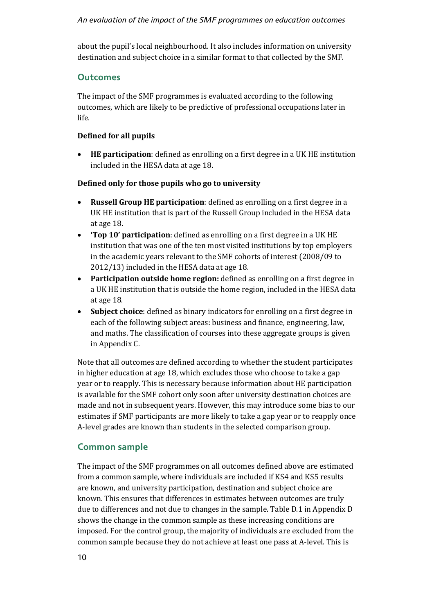#### *An evaluation of the impact of the SMF programmes on education outcomes*

about the pupil's local neighbourhood. It also includes information on university destination and subject choice in a similar format to that collected by the SMF.

#### **Outcomes**

The impact of the SMF programmes is evaluated according to the following outcomes, which are likely to be predictive of professional occupations later in life.

#### **Defined for all pupils**

• **HE participation**: defined as enrolling on a first degree in a UK HE institution included in the HESA data at age 18.

#### **Defined only for those pupils who go to university**

- **Russell Group HE participation**: defined as enrolling on a first degree in a UK HE institution that is part of the Russell Group included in the HESA data at age 18.
- **'Top 10' participation**: defined as enrolling on a first degree in a UK HE institution that was one of the ten most visited institutions by top employers in the academic years relevant to the SMF cohorts of interest (2008/09 to 2012/13) included in the HESA data at age 18.
- **Participation outside home region:** defined as enrolling on a first degree in a UK HE institution that is outside the home region, included in the HESA data at age 18.
- **Subject choice**: defined as binary indicators for enrolling on a first degree in each of the following subject areas: business and finance, engineering, law, and maths. The classification of courses into these aggregate groups is given in Appendix C.

Note that all outcomes are defined according to whether the student participates in higher education at age 18, which excludes those who choose to take a gap year or to reapply. This is necessary because information about HE participation is available for the SMF cohort only soon after university destination choices are made and not in subsequent years. However, this may introduce some bias to our estimates if SMF participants are more likely to take a gap year or to reapply once A-level grades are known than students in the selected comparison group.

#### **Common sample**

The impact of the SMF programmes on all outcomes defined above are estimated from a common sample, where individuals are included if KS4 and KS5 results are known, and university participation, destination and subject choice are known. This ensures that differences in estimates between outcomes are truly due to differences and not due to changes in the sample. Table D.1 in Appendix D shows the change in the common sample as these increasing conditions are imposed. For the control group, the majority of individuals are excluded from the common sample because they do not achieve at least one pass at A-level. This is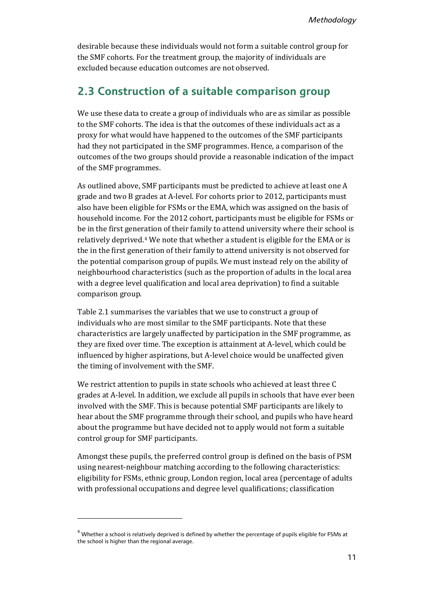desirable because these individuals would not form a suitable control group for the SMF cohorts. For the treatment group, the majority of individuals are excluded because education outcomes are not observed.

#### **2.3 Construction of a suitable comparison group**

We use these data to create a group of individuals who are as similar as possible to the SMF cohorts. The idea is that the outcomes of these individuals act as a proxy for what would have happened to the outcomes of the SMF participants had they not participated in the SMF programmes. Hence, a comparison of the outcomes of the two groups should provide a reasonable indication of the impact of the SMF programmes.

As outlined above, SMF participants must be predicted to achieve at least one A grade and two B grades at A-level. For cohorts prior to 2012, participants must also have been eligible for FSMs or the EMA, which was assigned on the basis of household income. For the 2012 cohort, participants must be eligible for FSMs or be in the first generation of their family to attend university where their school is relatively deprived.[4](#page-16-0) We note that whether a student is eligible for the EMA or is the in the first generation of their family to attend university is not observed for the potential comparison group of pupils. We must instead rely on the ability of neighbourhood characteristics (such as the proportion of adults in the local area with a degree level qualification and local area deprivation) to find a suitable comparison group.

Table 2.1 summarises the variables that we use to construct a group of individuals who are most similar to the SMF participants. Note that these characteristics are largely unaffected by participation in the SMF programme, as they are fixed over time. The exception is attainment at A-level, which could be influenced by higher aspirations, but A-level choice would be unaffected given the timing of involvement with the SMF.

We restrict attention to pupils in state schools who achieved at least three C grades at A-level. In addition, we exclude all pupils in schools that have ever been involved with the SMF. This is because potential SMF participants are likely to hear about the SMF programme through their school, and pupils who have heard about the programme but have decided not to apply would not form a suitable control group for SMF participants.

Amongst these pupils, the preferred control group is defined on the basis of PSM using nearest-neighbour matching according to the following characteristics: eligibility for FSMs, ethnic group, London region, local area (percentage of adults with professional occupations and degree level qualifications; classification

<span id="page-16-0"></span><sup>4</sup> Whether a school is relatively deprived is defined by whether the percentage of pupils eligible for FSMs at the school is higher than the regional average.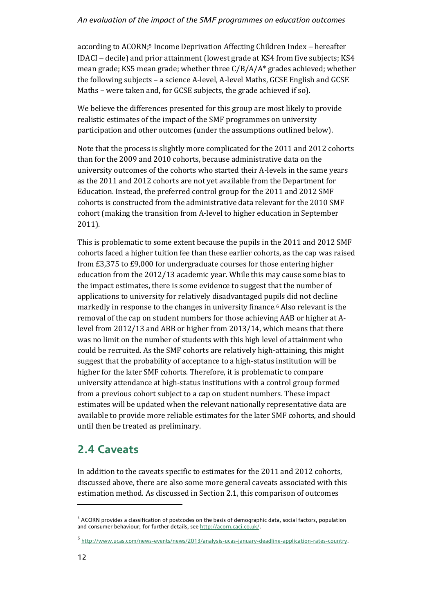#### *An evaluation of the impact of the SMF programmes on education outcomes*

according to ACORN;[5](#page-17-0) Income Deprivation Affecting Children Index − hereafter IDACI − decile) and prior attainment (lowest grade at KS4 from five subjects; KS4 mean grade; KS5 mean grade; whether three C/B/A/A\* grades achieved; whether the following subjects – a science A-level, A-level Maths, GCSE English and GCSE Maths – were taken and, for GCSE subjects, the grade achieved if so).

We believe the differences presented for this group are most likely to provide realistic estimates of the impact of the SMF programmes on university participation and other outcomes (under the assumptions outlined below).

Note that the process is slightly more complicated for the 2011 and 2012 cohorts than for the 2009 and 2010 cohorts, because administrative data on the university outcomes of the cohorts who started their A-levels in the same years as the 2011 and 2012 cohorts are not yet available from the Department for Education. Instead, the preferred control group for the 2011 and 2012 SMF cohorts is constructed from the administrative data relevant for the 2010 SMF cohort (making the transition from A-level to higher education in September 2011).

This is problematic to some extent because the pupils in the 2011 and 2012 SMF cohorts faced a higher tuition fee than these earlier cohorts, as the cap was raised from £3,375 to £9,000 for undergraduate courses for those entering higher education from the 2012/13 academic year. While this may cause some bias to the impact estimates, there is some evidence to suggest that the number of applications to university for relatively disadvantaged pupils did not decline markedly in response to the changes in university finance.[6](#page-17-1) Also relevant is the removal of the cap on student numbers for those achieving AAB or higher at Alevel from 2012/13 and ABB or higher from 2013/14, which means that there was no limit on the number of students with this high level of attainment who could be recruited. As the SMF cohorts are relatively high-attaining, this might suggest that the probability of acceptance to a high-status institution will be higher for the later SMF cohorts. Therefore, it is problematic to compare university attendance at high-status institutions with a control group formed from a previous cohort subject to a cap on student numbers. These impact estimates will be updated when the relevant nationally representative data are available to provide more reliable estimates for the later SMF cohorts, and should until then be treated as preliminary.

### **2.4 Caveats**

In addition to the caveats specific to estimates for the 2011 and 2012 cohorts, discussed above, there are also some more general caveats associated with this estimation method. As discussed in Section 2.1, this comparison of outcomes

j

<span id="page-17-0"></span> $<sup>5</sup>$  ACORN provides a classification of postcodes on the basis of demographic data, social factors, population</sup> and consumer behaviour; for further details, se[e http://acorn.caci.co.uk/.](http://acorn.caci.co.uk/)

<span id="page-17-1"></span><sup>6</sup> [http://www.ucas.com/news-events/news/2013/analysis-ucas-january-deadline-application-rates-country.](http://www.ucas.com/news-events/news/2013/analysis-ucas-january-deadline-application-rates-country)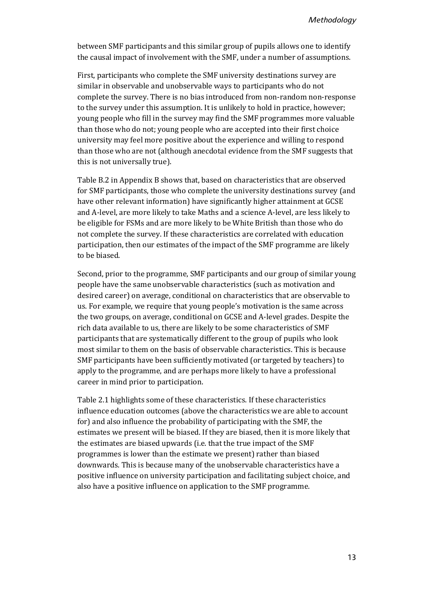between SMF participants and this similar group of pupils allows one to identify the causal impact of involvement with the SMF, under a number of assumptions.

First, participants who complete the SMF university destinations survey are similar in observable and unobservable ways to participants who do not complete the survey. There is no bias introduced from non-random non-response to the survey under this assumption. It is unlikely to hold in practice, however; young people who fill in the survey may find the SMF programmes more valuable than those who do not; young people who are accepted into their first choice university may feel more positive about the experience and willing to respond than those who are not (although anecdotal evidence from the SMF suggests that this is not universally true).

Table B.2 in Appendix B shows that, based on characteristics that are observed for SMF participants, those who complete the university destinations survey (and have other relevant information) have significantly higher attainment at GCSE and A-level, are more likely to take Maths and a science A-level, are less likely to be eligible for FSMs and are more likely to be White British than those who do not complete the survey. If these characteristics are correlated with education participation, then our estimates of the impact of the SMF programme are likely to be biased.

Second, prior to the programme, SMF participants and our group of similar young people have the same unobservable characteristics (such as motivation and desired career) on average, conditional on characteristics that are observable to us. For example, we require that young people's motivation is the same across the two groups, on average, conditional on GCSE and A-level grades. Despite the rich data available to us, there are likely to be some characteristics of SMF participants that are systematically different to the group of pupils who look most similar to them on the basis of observable characteristics. This is because SMF participants have been sufficiently motivated (or targeted by teachers) to apply to the programme, and are perhaps more likely to have a professional career in mind prior to participation.

Table 2.1 highlights some of these characteristics. If these characteristics influence education outcomes (above the characteristics we are able to account for) and also influence the probability of participating with the SMF, the estimates we present will be biased. If they are biased, then it is more likely that the estimates are biased upwards (i.e. that the true impact of the SMF programmes is lower than the estimate we present) rather than biased downwards. This is because many of the unobservable characteristics have a positive influence on university participation and facilitating subject choice, and also have a positive influence on application to the SMF programme.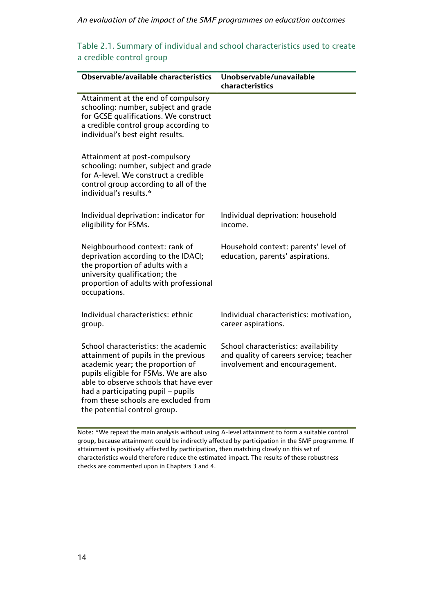#### *An evaluation of the impact of the SMF programmes on education outcomes*

| Table 2.1. Summary of individual and school characteristics used to create |  |
|----------------------------------------------------------------------------|--|
| a credible control group                                                   |  |

| Observable/available characteristics                                                                                                                                                                                                                                                                              | Unobservable/unavailable<br>characteristics                                                                       |
|-------------------------------------------------------------------------------------------------------------------------------------------------------------------------------------------------------------------------------------------------------------------------------------------------------------------|-------------------------------------------------------------------------------------------------------------------|
| Attainment at the end of compulsory<br>schooling: number, subject and grade<br>for GCSE qualifications. We construct<br>a credible control group according to<br>individual's best eight results.                                                                                                                 |                                                                                                                   |
| Attainment at post-compulsory<br>schooling: number, subject and grade<br>for A-level. We construct a credible<br>control group according to all of the<br>individual's results.*                                                                                                                                  |                                                                                                                   |
| Individual deprivation: indicator for<br>eligibility for FSMs.                                                                                                                                                                                                                                                    | Individual deprivation: household<br>income.                                                                      |
| Neighbourhood context: rank of<br>deprivation according to the IDACI;<br>the proportion of adults with a<br>university qualification; the<br>proportion of adults with professional<br>occupations.                                                                                                               | Household context: parents' level of<br>education, parents' aspirations.                                          |
| Individual characteristics: ethnic<br>group.                                                                                                                                                                                                                                                                      | Individual characteristics: motivation,<br>career aspirations.                                                    |
| School characteristics: the academic<br>attainment of pupils in the previous<br>academic year; the proportion of<br>pupils eligible for FSMs. We are also<br>able to observe schools that have ever<br>had a participating pupil - pupils<br>from these schools are excluded from<br>the potential control group. | School characteristics: availability<br>and quality of careers service; teacher<br>involvement and encouragement. |

Note: \*We repeat the main analysis without using A-level attainment to form a suitable control group, because attainment could be indirectly affected by participation in the SMF programme. If attainment is positively affected by participation, then matching closely on this set of characteristics would therefore reduce the estimated impact. The results of these robustness checks are commented upon in Chapters 3 and 4.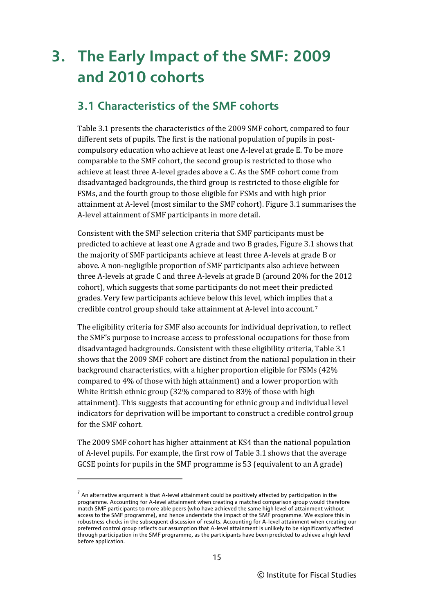## **3. The Early Impact of the SMF: 2009 and 2010 cohorts**

### **3.1 Characteristics of the SMF cohorts**

Table 3.1 presents the characteristics of the 2009 SMF cohort, compared to four different sets of pupils. The first is the national population of pupils in postcompulsory education who achieve at least one A-level at grade E. To be more comparable to the SMF cohort, the second group is restricted to those who achieve at least three A-level grades above a C. As the SMF cohort come from disadvantaged backgrounds, the third group is restricted to those eligible for FSMs, and the fourth group to those eligible for FSMs and with high prior attainment at A-level (most similar to the SMF cohort). Figure 3.1 summarises the A-level attainment of SMF participants in more detail.

Consistent with the SMF selection criteria that SMF participants must be predicted to achieve at least one A grade and two B grades, Figure 3.1 shows that the majority of SMF participants achieve at least three A-levels at grade B or above. A non-negligible proportion of SMF participants also achieve between three A-levels at grade C and three A-levels at grade B (around 20% for the 2012 cohort), which suggests that some participants do not meet their predicted grades. Very few participants achieve below this level, which implies that a credible control group should take attainment at A-level into account.[7](#page-20-0)

The eligibility criteria for SMF also accounts for individual deprivation, to reflect the SMF's purpose to increase access to professional occupations for those from disadvantaged backgrounds. Consistent with these eligibility criteria, Table 3.1 shows that the 2009 SMF cohort are distinct from the national population in their background characteristics, with a higher proportion eligible for FSMs (42% compared to 4% of those with high attainment) and a lower proportion with White British ethnic group (32% compared to 83% of those with high attainment). This suggests that accounting for ethnic group and individual level indicators for deprivation will be important to construct a credible control group for the SMF cohort.

The 2009 SMF cohort has higher attainment at KS4 than the national population of A-level pupils. For example, the first row of Table 3.1 shows that the average GCSE points for pupils in the SMF programme is 53 (equivalent to an A grade)

<span id="page-20-0"></span> $<sup>7</sup>$  An alternative argument is that A-level attainment could be positively affected by participation in the</sup> programme. Accounting for A-level attainment when creating a matched comparison group would therefore match SMF participants to more able peers (who have achieved the same high level of attainment without access to the SMF programme), and hence understate the impact of the SMF programme. We explore this in robustness checks in the subsequent discussion of results. Accounting for A-level attainment when creating our preferred control group reflects our assumption that A-level attainment is unlikely to be significantly affected through participation in the SMF programme, as the participants have been predicted to achieve a high level before application.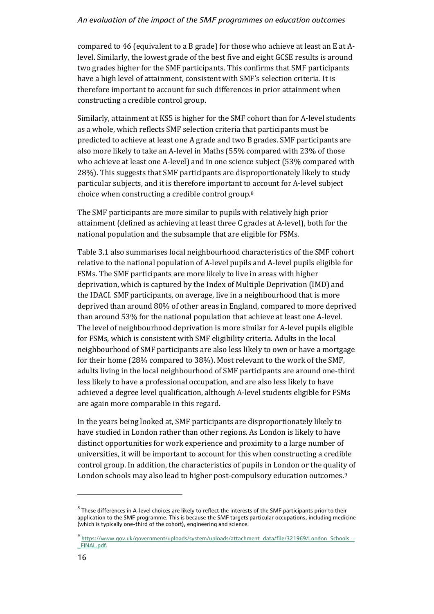#### *An evaluation of the impact of the SMF programmes on education outcomes*

compared to 46 (equivalent to a B grade) for those who achieve at least an E at Alevel. Similarly, the lowest grade of the best five and eight GCSE results is around two grades higher for the SMF participants. This confirms that SMF participants have a high level of attainment, consistent with SMF's selection criteria. It is therefore important to account for such differences in prior attainment when constructing a credible control group.

Similarly, attainment at KS5 is higher for the SMF cohort than for A-level students as a whole, which reflects SMF selection criteria that participants must be predicted to achieve at least one A grade and two B grades. SMF participants are also more likely to take an A-level in Maths (55% compared with 23% of those who achieve at least one A-level) and in one science subject (53% compared with 28%). This suggests that SMF participants are disproportionately likely to study particular subjects, and it is therefore important to account for A-level subject choice when constructing a credible control group.[8](#page-21-0)

The SMF participants are more similar to pupils with relatively high prior attainment (defined as achieving at least three C grades at A-level), both for the national population and the subsample that are eligible for FSMs.

Table 3.1 also summarises local neighbourhood characteristics of the SMF cohort relative to the national population of A-level pupils and A-level pupils eligible for FSMs. The SMF participants are more likely to live in areas with higher deprivation, which is captured by the Index of Multiple Deprivation (IMD) and the IDACI. SMF participants, on average, live in a neighbourhood that is more deprived than around 80% of other areas in England, compared to more deprived than around 53% for the national population that achieve at least one A-level. The level of neighbourhood deprivation is more similar for A-level pupils eligible for FSMs, which is consistent with SMF eligibility criteria. Adults in the local neighbourhood of SMF participants are also less likely to own or have a mortgage for their home (28% compared to 38%). Most relevant to the work of the SMF, adults living in the local neighbourhood of SMF participants are around one-third less likely to have a professional occupation, and are also less likely to have achieved a degree level qualification, although A-level students eligible for FSMs are again more comparable in this regard.

In the years being looked at, SMF participants are disproportionately likely to have studied in London rather than other regions. As London is likely to have distinct opportunities for work experience and proximity to a large number of universities, it will be important to account for this when constructing a credible control group. In addition, the characteristics of pupils in London or the qualit[y](#page-21-1) of London schools may also lead to higher post-compulsory education outcomes.<sup>9</sup>

<span id="page-21-0"></span> $8$  These differences in A-level choices are likely to reflect the interests of the SMF participants prior to their application to the SMF programme. This is because the SMF targets particular occupations, including medicine (which is typically one-third of the cohort), engineering and science.

<span id="page-21-1"></span><sup>9</sup> https://www.gov.uk/government/uploads/system/uploads/attachment\_data/file/321969/London\_Schools\_- FINAL.pdf.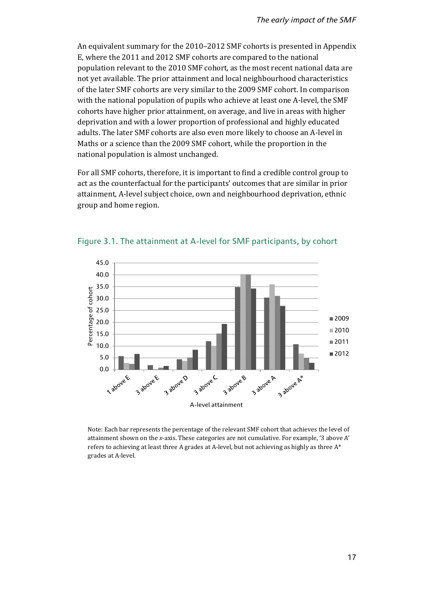An equivalent summary for the 2010–2012 SMF cohorts is presented in Appendix E, where the 2011 and 2012 SMF cohorts are compared to the national population relevant to the 2010 SMF cohort, as the most recent national data are not yet available. The prior attainment and local neighbourhood characteristics of the later SMF cohorts are very similar to the 2009 SMF cohort. In comparison with the national population of pupils who achieve at least one A-level, the SMF cohorts have higher prior attainment, on average, and live in areas with higher deprivation and with a lower proportion of professional and highly educated adults. The later SMF cohorts are also even more likely to choose an A-level in Maths or a science than the 2009 SMF cohort, while the proportion in the national population is almost unchanged.

For all SMF cohorts, therefore, it is important to find a credible control group to act as the counterfactual for the participants' outcomes that are similar in prior attainment, A-level subject choice, own and neighbourhood deprivation, ethnic group and home region.



Figure 3.1. The attainment at A-level for SMF participants, by cohort

Note: Each bar represents the percentage of the relevant SMF cohort that achieves the level of attainment shown on the *x*-axis. These categories are not cumulative. For example, '3 above A' refers to achieving at least three A grades at A-level, but not achieving as highly as three A\* grades at A-level.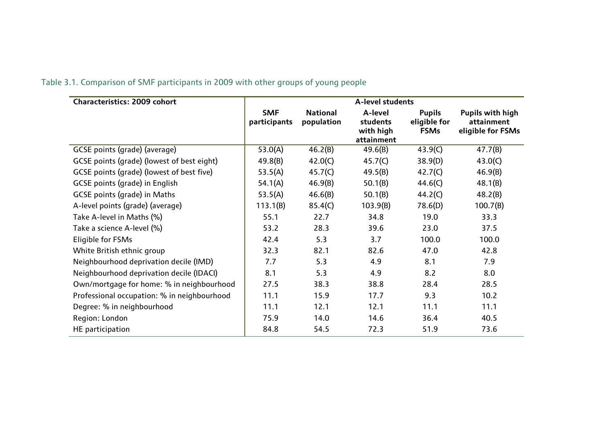| Characteristics: 2009 cohort                | A-level students           |                               |                                                |                                              |                                                     |  |
|---------------------------------------------|----------------------------|-------------------------------|------------------------------------------------|----------------------------------------------|-----------------------------------------------------|--|
|                                             | <b>SMF</b><br>participants | <b>National</b><br>population | A-level<br>students<br>with high<br>attainment | <b>Pupils</b><br>eligible for<br><b>FSMs</b> | Pupils with high<br>attainment<br>eligible for FSMs |  |
| GCSE points (grade) (average)               | 53.0(A)                    | 46.2(B)                       | 49.6(B)                                        | 43.9(C)                                      | 47.7(B)                                             |  |
| GCSE points (grade) (lowest of best eight)  | 49.8(B)                    | 42.0(C)                       | 45.7(C)                                        | 38.9(D)                                      | 43.0(C)                                             |  |
| GCSE points (grade) (lowest of best five)   | 53.5(A)                    | 45.7(C)                       | 49.5(B)                                        | 42.7(C)                                      | 46.9(B)                                             |  |
| <b>GCSE points (grade) in English</b>       | 54.1(A)                    | 46.9(B)                       | 50.1(B)                                        | 44.6(C)                                      | 48.1(B)                                             |  |
| GCSE points (grade) in Maths                | 53.5(A)                    | 46.6(B)                       | 50.1(B)                                        | 44.2(C)                                      | 48.2(B)                                             |  |
| A-level points (grade) (average)            | 113.1(B)                   | 85.4(C)                       | 103.9(B)                                       | 78.6(D)                                      | 100.7(B)                                            |  |
| Take A-level in Maths (%)                   | 55.1                       | 22.7                          | 34.8                                           | 19.0                                         | 33.3                                                |  |
| Take a science A-level (%)                  | 53.2                       | 28.3                          | 39.6                                           | 23.0                                         | 37.5                                                |  |
| Eligible for FSMs                           | 42.4                       | 5.3                           | 3.7                                            | 100.0                                        | 100.0                                               |  |
| White British ethnic group                  | 32.3                       | 82.1                          | 82.6                                           | 47.0                                         | 42.8                                                |  |
| Neighbourhood deprivation decile (IMD)      | 7.7                        | 5.3                           | 4.9                                            | 8.1                                          | 7.9                                                 |  |
| Neighbourhood deprivation decile (IDACI)    | 8.1                        | 5.3                           | 4.9                                            | 8.2                                          | 8.0                                                 |  |
| Own/mortgage for home: % in neighbourhood   | 27.5                       | 38.3                          | 38.8                                           | 28.4                                         | 28.5                                                |  |
| Professional occupation: % in neighbourhood | 11.1                       | 15.9                          | 17.7                                           | 9.3                                          | 10.2                                                |  |
| Degree: % in neighbourhood                  | 11.1                       | 12.1                          | 12.1                                           | 11.1                                         | 11.1                                                |  |
| Region: London                              | 75.9                       | 14.0                          | 14.6                                           | 36.4                                         | 40.5                                                |  |
| HE participation                            | 84.8                       | 54.5                          | 72.3                                           | 51.9                                         | 73.6                                                |  |

### Table 3.1. Comparison of SMF participants in 2009 with other groups of young people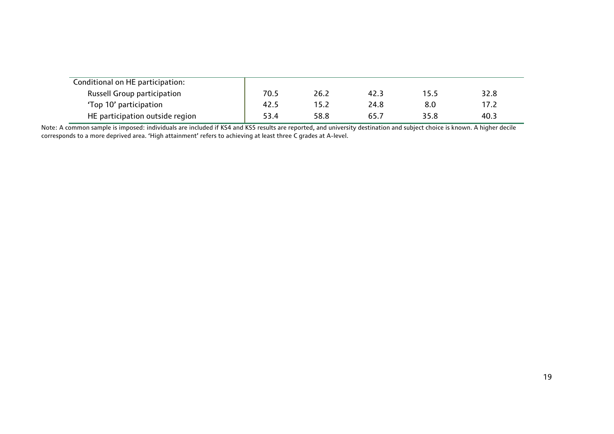| Conditional on HE participation:   |      |      |      |      |      |
|------------------------------------|------|------|------|------|------|
| <b>Russell Group participation</b> | 70.5 | 26.2 | 42.3 | 15.5 | 32.8 |
| 'Top 10' participation             | 42.5 | 15.2 | 24.8 | 8.0  | 17.2 |
| HE participation outside region    | 53.4 | 58.8 | 65.7 | 35.8 | 40.3 |

Note: A common sample is imposed: individuals are included if KS4 and KS5 results are reported, and university destination and subject choice is known. A higher decile corresponds to a more deprived area. 'High attainment' refers to achieving at least three C grades at A-level.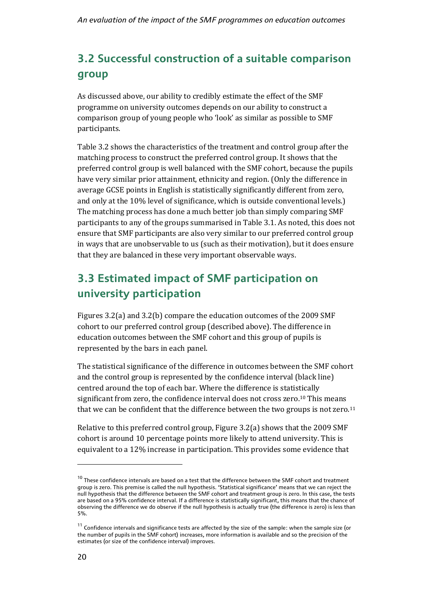### **3.2 Successful construction of a suitable comparison group**

As discussed above, our ability to credibly estimate the effect of the SMF programme on university outcomes depends on our ability to construct a comparison group of young people who 'look' as similar as possible to SMF participants.

Table 3.2 shows the characteristics of the treatment and control group after the matching process to construct the preferred control group. It shows that the preferred control group is well balanced with the SMF cohort, because the pupils have very similar prior attainment, ethnicity and region. (Only the difference in average GCSE points in English is statistically significantly different from zero, and only at the 10% level of significance, which is outside conventional levels.) The matching process has done a much better job than simply comparing SMF participants to any of the groups summarised in Table 3.1. As noted, this does not ensure that SMF participants are also very similar to our preferred control group in ways that are unobservable to us (such as their motivation), but it does ensure that they are balanced in these very important observable ways.

### **3.3 Estimated impact of SMF participation on university participation**

Figures 3.2(a) and 3.2(b) compare the education outcomes of the 2009 SMF cohort to our preferred control group (described above). The difference in education outcomes between the SMF cohort and this group of pupils is represented by the bars in each panel.

The statistical significance of the difference in outcomes between the SMF cohort and the control group is represented by the confidence interval (black line) centred around the top of each bar. Where the difference is statis[tic](#page-25-0)ally significant from zero, the confidence interval does not cross zero.10 This means that we can be confident that the difference between the two groups is not zero.<sup>[11](#page-25-1)</sup>

Relative to this preferred control group, Figure 3.2(a) shows that the 2009 SMF cohort is around 10 percentage points more likely to attend university. This is equivalent to a 12% increase in participation. This provides some evidence that

<span id="page-25-0"></span> $10$  These confidence intervals are based on a test that the difference between the SMF cohort and treatment group is zero. This premise is called the null hypothesis. 'Statistical significance' means that we can reject the null hypothesis that the difference between the SMF cohort and treatment group is zero. In this case, the tests are based on a 95% confidence interval. If a difference is statistically significant, this means that the chance of observing the difference we do observe if the null hypothesis is actually true (the difference is zero) is less than 5%.

<span id="page-25-1"></span> $11$  Confidence intervals and significance tests are affected by the size of the sample: when the sample size (or the number of pupils in the SMF cohort) increases, more information is available and so the precision of the estimates (or size of the confidence interval) improves.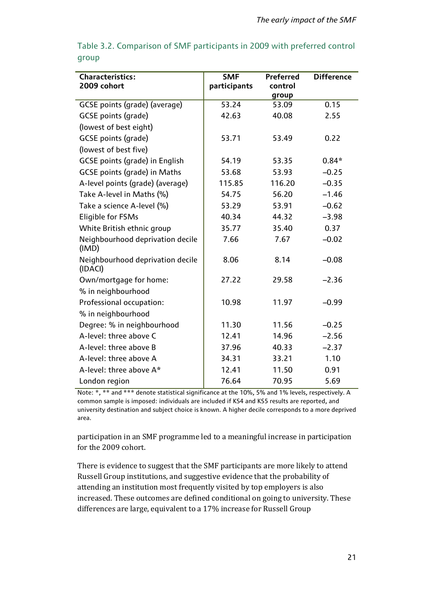| <b>Characteristics:</b>                     | <b>SMF</b>   | Preferred | <b>Difference</b> |
|---------------------------------------------|--------------|-----------|-------------------|
| 2009 cohort                                 | participants | control   |                   |
|                                             |              | group     |                   |
| GCSE points (grade) (average)               | 53.24        | 53.09     | 0.15              |
| <b>GCSE</b> points (grade)                  | 42.63        | 40.08     | 2.55              |
| (lowest of best eight)                      |              |           |                   |
| <b>GCSE</b> points (grade)                  | 53.71        | 53.49     | 0.22              |
| (lowest of best five)                       |              |           |                   |
| GCSE points (grade) in English              | 54.19        | 53.35     | $0.84*$           |
| <b>GCSE points (grade) in Maths</b>         | 53.68        | 53.93     | $-0.25$           |
| A-level points (grade) (average)            | 115.85       | 116.20    | $-0.35$           |
| Take A-level in Maths (%)                   | 54.75        | 56.20     | $-1.46$           |
| Take a science A-level (%)                  | 53.29        | 53.91     | $-0.62$           |
| <b>Eligible for FSMs</b>                    | 40.34        | 44.32     | $-3.98$           |
| White British ethnic group                  | 35.77        | 35.40     | 0.37              |
| Neighbourhood deprivation decile<br>(IMD)   | 7.66         | 7.67      | $-0.02$           |
| Neighbourhood deprivation decile<br>(IDACI) | 8.06         | 8.14      | $-0.08$           |
| Own/mortgage for home:                      | 27.22        | 29.58     | $-2.36$           |
| % in neighbourhood                          |              |           |                   |
| Professional occupation:                    | 10.98        | 11.97     | $-0.99$           |
| % in neighbourhood                          |              |           |                   |
| Degree: % in neighbourhood                  | 11.30        | 11.56     | $-0.25$           |
| A-level: three above C                      | 12.41        | 14.96     | $-2.56$           |
| A-level: three above B                      | 37.96        | 40.33     | $-2.37$           |
| A-level: three above A                      | 34.31        | 33.21     | 1.10              |
| A-level: three above A*                     | 12.41        | 11.50     | 0.91              |
| London region                               | 76.64        | 70.95     | 5.69              |

Table 3.2. Comparison of SMF participants in 2009 with preferred control group

Note: \*, \*\* and \*\*\* denote statistical significance at the 10%, 5% and 1% levels, respectively. A common sample is imposed: individuals are included if KS4 and KS5 results are reported, and university destination and subject choice is known. A higher decile corresponds to a more deprived area.

participation in an SMF programme led to a meaningful increase in participation for the 2009 cohort.

There is evidence to suggest that the SMF participants are more likely to attend Russell Group institutions, and suggestive evidence that the probability of attending an institution most frequently visited by top employers is also increased. These outcomes are defined conditional on going to university. These differences are large, equivalent to a 17% increase for Russell Group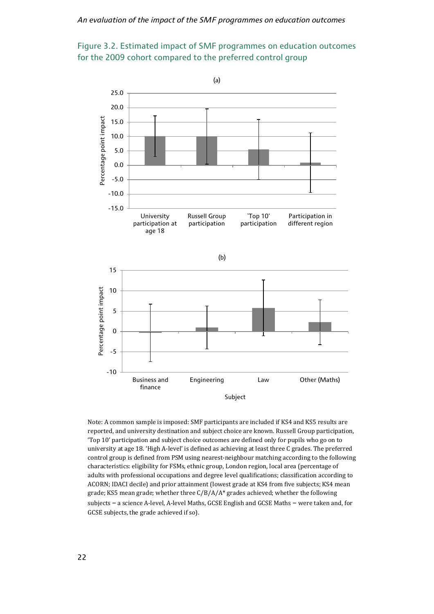



Note: A common sample is imposed: SMF participants are included if KS4 and KS5 results are reported, and university destination and subject choice are known. Russell Group participation, 'Top 10' participation and subject choice outcomes are defined only for pupils who go on to university at age 18. 'High A-level' is defined as achieving at least three C grades. The preferred control group is defined from PSM using nearest-neighbour matching according to the following characteristics: eligibility for FSMs, ethnic group, London region, local area (percentage of adults with professional occupations and degree level qualifications; classification according to ACORN; IDACI decile) and prior attainment (lowest grade at KS4 from five subjects; KS4 mean grade; KS5 mean grade; whether three C/B/A/A\* grades achieved; whether the following subjects – a science A-level, A-level Maths, GCSE English and GCSE Maths – were taken and, for GCSE subjects, the grade achieved if so).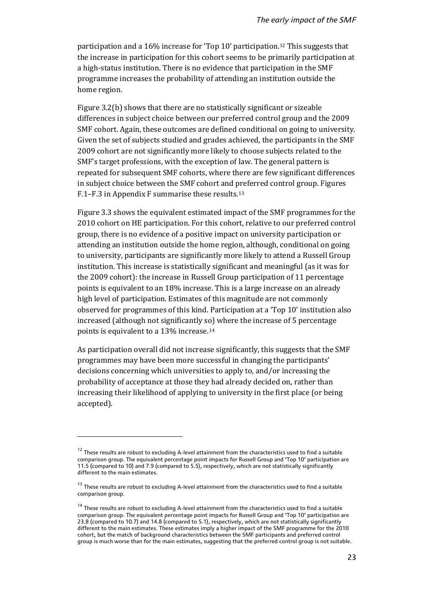participation and a 16% increase for 'Top 10' participation.[12](#page-28-0) This suggests that the increase in participation for this cohort seems to be primarily participation at a high-status institution. There is no evidence that participation in the SMF programme increases the probability of attending an institution outside the home region.

Figure 3.2(b) shows that there are no statistically significant or sizeable differences in subject choice between our preferred control group and the 2009 SMF cohort. Again, these outcomes are defined conditional on going to university. Given the set of subjects studied and grades achieved, the participants in the SMF 2009 cohort are not significantly more likely to choose subjects related to the SMF's target professions, with the exception of law. The general pattern is repeated for subsequent SMF cohorts, where there are few significant differences in subject choice between the SMF cohort and preferred control group. Figures F.1–F.3 in Appendix F summarise these results[.13](#page-28-1)

Figure 3.3 shows the equivalent estimated impact of the SMF programmes for the 2010 cohort on HE participation. For this cohort, relative to our preferred control group, there is no evidence of a positive impact on university participation or attending an institution outside the home region, although, conditional on going to university, participants are significantly more likely to attend a Russell Group institution. This increase is statistically significant and meaningful (as it was for the 2009 cohort): the increase in Russell Group participation of 11 percentage points is equivalent to an 18% increase. This is a large increase on an already high level of participation. Estimates of this magnitude are not commonly observed for programmes of this kind. Participation at a 'Top 10' institution also increased (although not significantly so) where the increase of 5 percentage points is equivalent to a 13% increase.[14](#page-28-2) 

As participation overall did not increase significantly, this suggests that the SMF programmes may have been more successful in changing the participants' decisions concerning which universities to apply to, and/or increasing the probability of acceptance at those they had already decided on, rather than increasing their likelihood of applying to university in the first place (or being accepted).

<span id="page-28-0"></span> $12$  These results are robust to excluding A-level attainment from the characteristics used to find a suitable comparison group. The equivalent percentage point impacts for Russell Group and 'Top 10' participation are 11.5 (compared to 10) and 7.9 (compared to 5.5), respectively, which are not statistically significantly different to the main estimates.

<span id="page-28-1"></span> $13$  These results are robust to excluding A-level attainment from the characteristics used to find a suitable comparison group.

<span id="page-28-2"></span><sup>&</sup>lt;sup>14</sup> These results are robust to excluding A-level attainment from the characteristics used to find a suitable comparison group. The equivalent percentage point impacts for Russell Group and 'Top 10' participation are 23.8 (compared to 10.7) and 14.8 (compared to 5.1), respectively, which are not statistically significantly different to the main estimates. These estimates imply a higher impact of the SMF programme for the 2010 cohort, but the match of background characteristics between the SMF participants and preferred control group is much worse than for the main estimates, suggesting that the preferred control group is not suitable.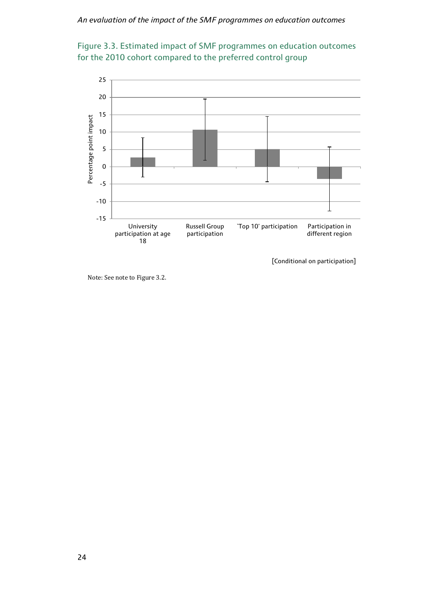



Note: See note to Figure 3.2.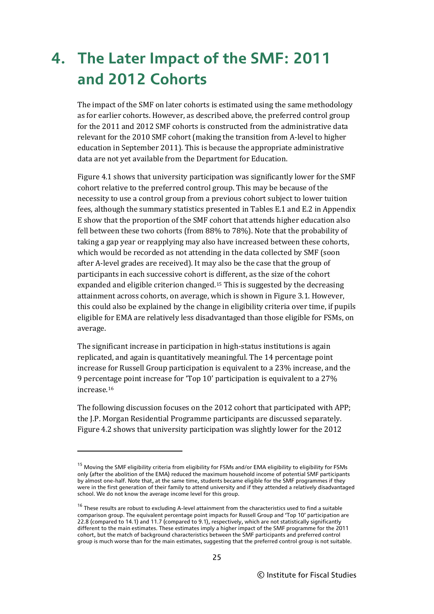## **4. The Later Impact of the SMF: 2011 and 2012 Cohorts**

The impact of the SMF on later cohorts is estimated using the same methodology as for earlier cohorts. However, as described above, the preferred control group for the 2011 and 2012 SMF cohorts is constructed from the administrative data relevant for the 2010 SMF cohort (making the transition from A-level to higher education in September 2011). This is because the appropriate administrative data are not yet available from the Department for Education.

Figure 4.1 shows that university participation was significantly lower for the SMF cohort relative to the preferred control group. This may be because of the necessity to use a control group from a previous cohort subject to lower tuition fees, although the summary statistics presented in Tables E.1 and E.2 in Appendix E show that the proportion of the SMF cohort that attends higher education also fell between these two cohorts (from 88% to 78%). Note that the probability of taking a gap year or reapplying may also have increased between these cohorts, which would be recorded as not attending in the data collected by SMF (soon after A-level grades are received). It may also be the case that the group of participants in each successive cohort is [di](#page-30-0)fferent, as the size of the cohort expanded and eligible criterion changed.15 This is suggested by the decreasing attainment across cohorts, on average, which is shown in Figure 3.1. However, this could also be explained by the change in eligibility criteria over time, if pupils eligible for EMA are relatively less disadvantaged than those eligible for FSMs, on average.

The significant increase in participation in high-status institutions is again replicated, and again is quantitatively meaningful. The 14 percentage point increase for Russell Group participation is equivalent to a 23% increase, and the 9 percentage point increase for 'Top 10' participation is equivalent to a 27% increase.[16](#page-30-1)

The following discussion focuses on the 2012 cohort that participated with APP; the J.P. Morgan Residential Programme participants are discussed separately. Figure 4.2 shows that university participation was slightly lower for the 2012

<span id="page-30-0"></span><sup>15</sup> Moving the SMF eligibility criteria from eligibility for FSMs and/or EMA eligibility to eligibility for FSMs only (after the abolition of the EMA) reduced the maximum household income of potential SMF participants by almost one-half. Note that, at the same time, students became eligible for the SMF programmes if they were in the first generation of their family to attend university and if they attended a relatively disadvantaged school. We do not know the average income level for this group.

<span id="page-30-1"></span><sup>&</sup>lt;sup>16</sup> These results are robust to excluding A-level attainment from the characteristics used to find a suitable comparison group. The equivalent percentage point impacts for Russell Group and 'Top 10' participation are 22.8 (compared to 14.1) and 11.7 (compared to 9.1), respectively, which are not statistically significantly different to the main estimates. These estimates imply a higher impact of the SMF programme for the 2011 cohort, but the match of background characteristics between the SMF participants and preferred control group is much worse than for the main estimates, suggesting that the preferred control group is not suitable.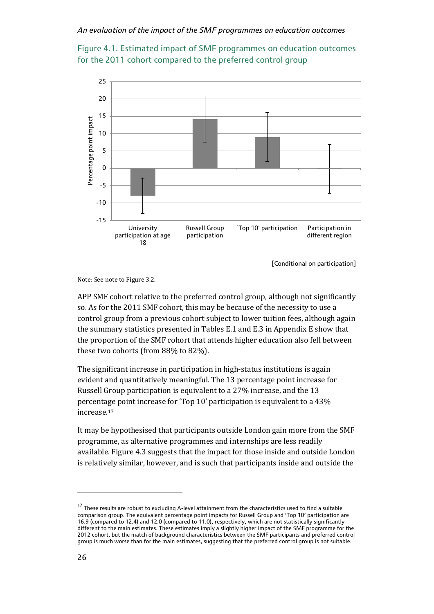



Note: See note to Figure 3.2.

APP SMF cohort relative to the preferred control group, although not significantly so. As for the 2011 SMF cohort, this may be because of the necessity to use a control group from a previous cohort subject to lower tuition fees, although again the summary statistics presented in Tables E.1 and E.3 in Appendix E show that the proportion of the SMF cohort that attends higher education also fell between these two cohorts (from 88% to 82%).

The significant increase in participation in high-status institutions is again evident and quantitatively meaningful. The 13 percentage point increase for Russell Group participation is equivalent to a 27% increase, and the 13 percentage point increase for 'Top 10' participation is equivalent to a 43% increase.[17](#page-31-0)

It may be hypothesised that participants outside London gain more from the SMF programme, as alternative programmes and internships are less readily available. Figure 4.3 suggests that the impact for those inside and outside London is relatively similar, however, and is such that participants inside and outside the

<span id="page-31-0"></span><sup>&</sup>lt;sup>17</sup> These results are robust to excluding A-level attainment from the characteristics used to find a suitable comparison group. The equivalent percentage point impacts for Russell Group and 'Top 10' participation are 16.9 (compared to 12.4) and 12.0 (compared to 11.0), respectively, which are not statistically significantly different to the main estimates. These estimates imply a slightly higher impact of the SMF programme for the 2012 cohort, but the match of background characteristics between the SMF participants and preferred control group is much worse than for the main estimates, suggesting that the preferred control group is not suitable.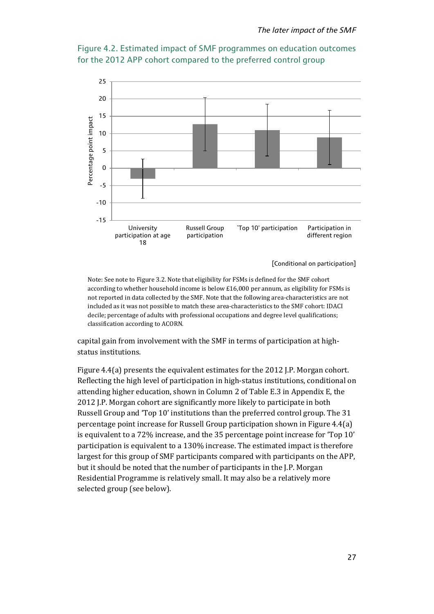



Note: See note to Figure 3.2. Note that eligibility for FSMs is defined for the SMF cohort according to whether household income is below  $£16,000$  per annum, as eligibility for FSMs is not reported in data collected by the SMF. Note that the following area-characteristics are not included as it was not possible to match these area-characteristics to the SMF cohort: IDACI decile; percentage of adults with professional occupations and degree level qualifications; classification according to ACORN.

capital gain from involvement with the SMF in terms of participation at highstatus institutions.

Figure 4.4(a) presents the equivalent estimates for the 2012 J.P. Morgan cohort. Reflecting the high level of participation in high-status institutions, conditional on attending higher education, shown in Column 2 of Table E.3 in Appendix E, the 2012 J.P. Morgan cohort are significantly more likely to participate in both Russell Group and 'Top 10' institutions than the preferred control group. The 31 percentage point increase for Russell Group participation shown in Figure 4.4(a) is equivalent to a 72% increase, and the 35 percentage point increase for 'Top 10' participation is equivalent to a 130% increase. The estimated impact is therefore largest for this group of SMF participants compared with participants on the APP, but it should be noted that the number of participants in the J.P. Morgan Residential Programme is relatively small. It may also be a relatively more selected group (see below).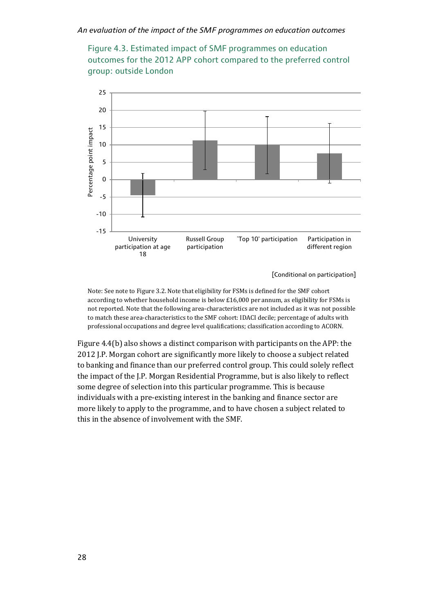



Note: See note to Figure 3.2. Note that eligibility for FSMs is defined for the SMF cohort according to whether household income is below £16,000 per annum, as eligibility for FSMs is not reported. Note that the following area-characteristics are not included as it was not possible to match these area-characteristics to the SMF cohort: IDACI decile; percentage of adults with professional occupations and degree level qualifications; classification according to ACORN.

Figure 4.4(b) also shows a distinct comparison with participants on the APP: the 2012 J.P. Morgan cohort are significantly more likely to choose a subject related to banking and finance than our preferred control group. This could solely reflect the impact of the J.P. Morgan Residential Programme, but is also likely to reflect some degree of selection into this particular programme. This is because individuals with a pre-existing interest in the banking and finance sector are more likely to apply to the programme, and to have chosen a subject related to this in the absence of involvement with the SMF.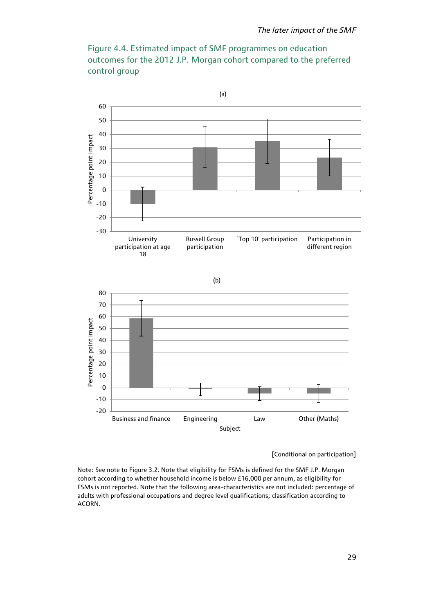



Note: See note to Figure 3.2. Note that eligibility for FSMs is defined for the SMF J.P. Morgan cohort according to whether household income is below £16,000 per annum, as eligibility for FSMs is not reported. Note that the following area-characteristics are not included: percentage of adults with professional occupations and degree level qualifications; classification according to ACORN.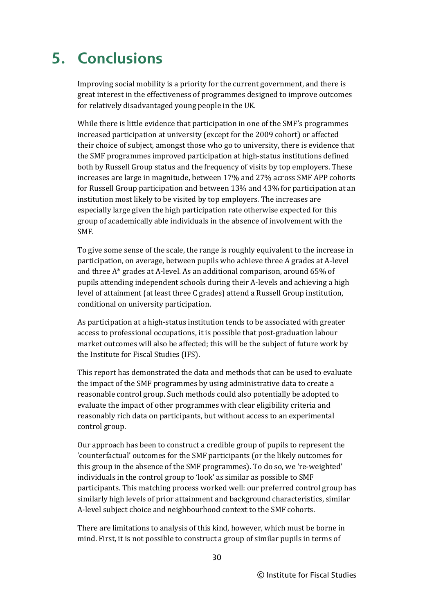## **5. Conclusions**

Improving social mobility is a priority for the current government, and there is great interest in the effectiveness of programmes designed to improve outcomes for relatively disadvantaged young people in the UK.

While there is little evidence that participation in one of the SMF's programmes increased participation at university (except for the 2009 cohort) or affected their choice of subject, amongst those who go to university, there is evidence that the SMF programmes improved participation at high-status institutions defined both by Russell Group status and the frequency of visits by top employers. These increases are large in magnitude, between 17% and 27% across SMF APP cohorts for Russell Group participation and between 13% and 43% for participation at an institution most likely to be visited by top employers. The increases are especially large given the high participation rate otherwise expected for this group of academically able individuals in the absence of involvement with the SMF.

To give some sense of the scale, the range is roughly equivalent to the increase in participation, on average, between pupils who achieve three A grades at A-level and three A\* grades at A-level. As an additional comparison, around 65% of pupils attending independent schools during their A-levels and achieving a high level of attainment (at least three C grades) attend a Russell Group institution, conditional on university participation.

As participation at a high-status institution tends to be associated with greater access to professional occupations, it is possible that post-graduation labour market outcomes will also be affected; this will be the subject of future work by the Institute for Fiscal Studies (IFS).

This report has demonstrated the data and methods that can be used to evaluate the impact of the SMF programmes by using administrative data to create a reasonable control group. Such methods could also potentially be adopted to evaluate the impact of other programmes with clear eligibility criteria and reasonably rich data on participants, but without access to an experimental control group.

Our approach has been to construct a credible group of pupils to represent the 'counterfactual' outcomes for the SMF participants (or the likely outcomes for this group in the absence of the SMF programmes). To do so, we 're-weighted' individuals in the control group to 'look' as similar as possible to SMF participants. This matching process worked well: our preferred control group has similarly high levels of prior attainment and background characteristics, similar A-level subject choice and neighbourhood context to the SMF cohorts.

There are limitations to analysis of this kind, however, which must be borne in mind. First, it is not possible to construct a group of similar pupils in terms of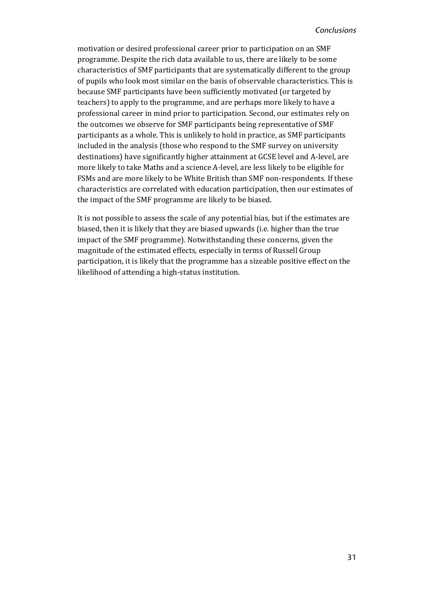motivation or desired professional career prior to participation on an SMF programme. Despite the rich data available to us, there are likely to be some characteristics of SMF participants that are systematically different to the group of pupils who look most similar on the basis of observable characteristics. This is because SMF participants have been sufficiently motivated (or targeted by teachers) to apply to the programme, and are perhaps more likely to have a professional career in mind prior to participation. Second, our estimates rely on the outcomes we observe for SMF participants being representative of SMF participants as a whole. This is unlikely to hold in practice, as SMF participants included in the analysis (those who respond to the SMF survey on university destinations) have significantly higher attainment at GCSE level and A-level, are more likely to take Maths and a science A-level, are less likely to be eligible for FSMs and are more likely to be White British than SMF non-respondents. If these characteristics are correlated with education participation, then our estimates of the impact of the SMF programme are likely to be biased.

It is not possible to assess the scale of any potential bias, but if the estimates are biased, then it is likely that they are biased upwards (i.e. higher than the true impact of the SMF programme). Notwithstanding these concerns, given the magnitude of the estimated effects, especially in terms of Russell Group participation, it is likely that the programme has a sizeable positive effect on the likelihood of attending a high-status institution.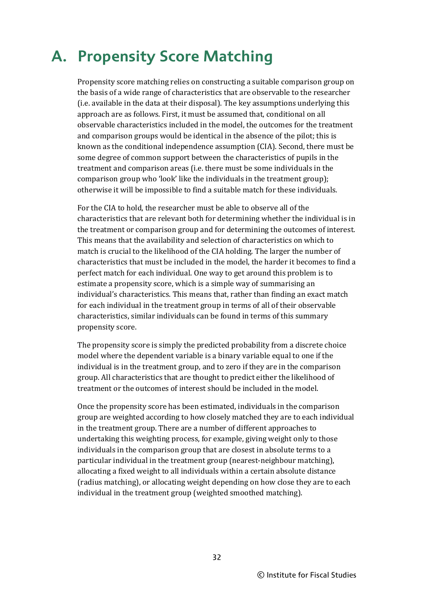### **A. Propensity Score Matching**

Propensity score matching relies on constructing a suitable comparison group on the basis of a wide range of characteristics that are observable to the researcher (i.e. available in the data at their disposal). The key assumptions underlying this approach are as follows. First, it must be assumed that, conditional on all observable characteristics included in the model, the outcomes for the treatment and comparison groups would be identical in the absence of the pilot; this is known as the conditional independence assumption (CIA). Second, there must be some degree of common support between the characteristics of pupils in the treatment and comparison areas (i.e. there must be some individuals in the comparison group who 'look' like the individuals in the treatment group); otherwise it will be impossible to find a suitable match for these individuals.

For the CIA to hold, the researcher must be able to observe all of the characteristics that are relevant both for determining whether the individual is in the treatment or comparison group and for determining the outcomes of interest. This means that the availability and selection of characteristics on which to match is crucial to the likelihood of the CIA holding. The larger the number of characteristics that must be included in the model, the harder it becomes to find a perfect match for each individual. One way to get around this problem is to estimate a propensity score, which is a simple way of summarising an individual's characteristics. This means that, rather than finding an exact match for each individual in the treatment group in terms of all of their observable characteristics, similar individuals can be found in terms of this summary propensity score.

The propensity score is simply the predicted probability from a discrete choice model where the dependent variable is a binary variable equal to one if the individual is in the treatment group, and to zero if they are in the comparison group. All characteristics that are thought to predict either the likelihood of treatment or the outcomes of interest should be included in the model.

Once the propensity score has been estimated, individuals in the comparison group are weighted according to how closely matched they are to each individual in the treatment group. There are a number of different approaches to undertaking this weighting process, for example, giving weight only to those individuals in the comparison group that are closest in absolute terms to a particular individual in the treatment group (nearest-neighbour matching), allocating a fixed weight to all individuals within a certain absolute distance (radius matching), or allocating weight depending on how close they are to each individual in the treatment group (weighted smoothed matching).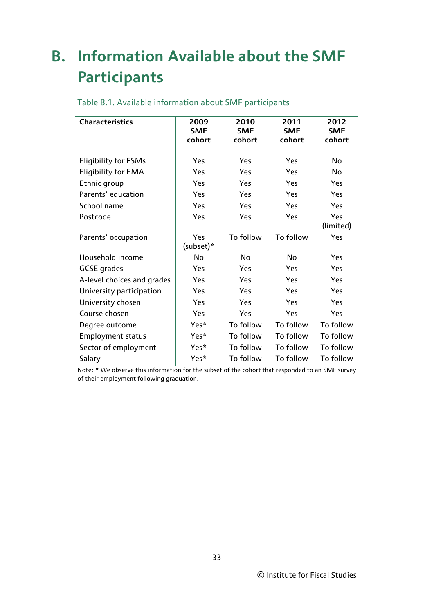## **B. Information Available about the SMF Participants**

| <b>Characteristics</b>      | 2009<br><b>SMF</b><br>cohort | 2010<br><b>SMF</b><br>cohort | 2011<br><b>SMF</b><br>cohort | 2012<br><b>SMF</b><br>cohort |
|-----------------------------|------------------------------|------------------------------|------------------------------|------------------------------|
| <b>Eligibility for FSMs</b> | Yes                          | Yes                          | Yes                          | No                           |
| <b>Eligibility for EMA</b>  | Yes                          | Yes                          | Yes                          | No                           |
| Ethnic group                | Yes                          | Yes                          | Yes                          | Yes                          |
| Parents' education          | Yes                          | Yes                          | Yes                          | Yes                          |
| School name                 | Yes                          | Yes                          | Yes                          | Yes                          |
| Postcode                    | Yes                          | Yes                          | Yes                          | Yes<br>(limited)             |
| Parents' occupation         | Yes<br>(subset)*             | To follow                    | To follow                    | Yes                          |
| Household income            | No                           | No                           | No                           | Yes                          |
| <b>GCSE</b> grades          | Yes                          | Yes                          | Yes                          | Yes                          |
| A-level choices and grades  | Yes                          | Yes                          | Yes                          | Yes                          |
| University participation    | Yes                          | Yes                          | Yes                          | Yes                          |
| University chosen           | Yes                          | Yes                          | Yes                          | Yes                          |
| Course chosen               | Yes                          | Yes                          | Yes                          | Yes                          |
| Degree outcome              | Yes*                         | To follow                    | To follow                    | To follow                    |
| <b>Employment status</b>    | Yes*                         | To follow                    | To follow                    | To follow                    |
| Sector of employment        | Yes*                         | To follow                    | To follow                    | To follow                    |
| Salary                      | Yes*                         | To follow                    | To follow                    | To follow                    |

#### Table B.1. Available information about SMF participants

Note: \* We observe this information for the subset of the cohort that responded to an SMF survey of their employment following graduation.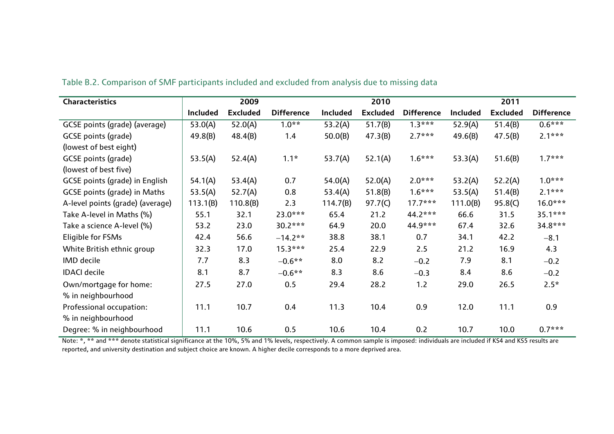| <b>Characteristics</b>                |                 | 2009            |                   |                 | 2010            |                   |                 | 2011            |                   |
|---------------------------------------|-----------------|-----------------|-------------------|-----------------|-----------------|-------------------|-----------------|-----------------|-------------------|
|                                       | <b>Included</b> | <b>Excluded</b> | <b>Difference</b> | <b>Included</b> | <b>Excluded</b> | <b>Difference</b> | <b>Included</b> | <b>Excluded</b> | <b>Difference</b> |
| GCSE points (grade) (average)         | 53.0(A)         | 52.0(A)         | $1.0**$           | 53.2(A)         | 51.7(B)         | $1.3***$          | 52.9(A)         | 51.4(B)         | $0.6***$          |
| GCSE points (grade)                   | 49.8(B)         | 48.4(B)         | 1.4               | 50.0(B)         | 47.3(B)         | $2.7***$          | 49.6(B)         | 47.5(B)         | $2.1***$          |
| (lowest of best eight)                |                 |                 |                   |                 |                 |                   |                 |                 |                   |
| <b>GCSE</b> points (grade)            | 53.5(A)         | 52.4(A)         | $1.1*$            | 53.7(A)         | 52.1(A)         | $1.6***$          | 53.3(A)         | 51.6(B)         | $1.7***$          |
| (lowest of best five)                 |                 |                 |                   |                 |                 |                   |                 |                 |                   |
| <b>GCSE points (grade) in English</b> | 54.1(A)         | 53.4(A)         | 0.7               | 54.0(A)         | 52.0(A)         | $2.0***$          | 53.2(A)         | 52.2(A)         | $1.0***$          |
| <b>GCSE points (grade) in Maths</b>   | 53.5(A)         | 52.7(A)         | 0.8               | 53.4(A)         | 51.8(B)         | $1.6***$          | 53.5(A)         | 51.4(B)         | $2.1***$          |
| A-level points (grade) (average)      | 113.1(B)        | 110.8(B)        | 2.3               | 114.7(B)        | 97.7(C)         | $17.7***$         | 111.0(B)        | 95.8(C)         | $16.0***$         |
| Take A-level in Maths (%)             | 55.1            | 32.1            | $23.0***$         | 65.4            | 21.2            | 44.2***           | 66.6            | 31.5            | $35.1***$         |
| Take a science A-level (%)            | 53.2            | 23.0            | 30.2***           | 64.9            | 20.0            | 44.9***           | 67.4            | 32.6            | 34.8***           |
| Eligible for FSMs                     | 42.4            | 56.6            | $-14.2**$         | 38.8            | 38.1            | 0.7               | 34.1            | 42.2            | $-8.1$            |
| White British ethnic group            | 32.3            | 17.0            | $15.3***$         | 25.4            | 22.9            | 2.5               | 21.2            | 16.9            | 4.3               |
| <b>IMD</b> decile                     | 7.7             | 8.3             | $-0.6**$          | 8.0             | 8.2             | $-0.2$            | 7.9             | 8.1             | $-0.2$            |
| <b>IDACI</b> decile                   | 8.1             | 8.7             | $-0.6**$          | 8.3             | 8.6             | $-0.3$            | 8.4             | 8.6             | $-0.2$            |
| Own/mortgage for home:                | 27.5            | 27.0            | 0.5               | 29.4            | 28.2            | 1.2               | 29.0            | 26.5            | $2.5*$            |
| % in neighbourhood                    |                 |                 |                   |                 |                 |                   |                 |                 |                   |
| Professional occupation:              | 11.1            | 10.7            | 0.4               | 11.3            | 10.4            | 0.9               | 12.0            | 11.1            | 0.9               |
| % in neighbourhood                    |                 |                 |                   |                 |                 |                   |                 |                 |                   |
| Degree: % in neighbourhood            | 11.1            | 10.6            | 0.5               | 10.6            | 10.4            | 0.2               | 10.7            | 10.0            | $0.7***$          |

Table B.2. Comparison of SMF participants included and excluded from analysis due to missing data

Note: \*, \*\* and \*\*\* denote statistical significance at the 10%, 5% and 1% levels, respectively. A common sample is imposed: individuals are included if KS4 and KS5 results are reported, and university destination and subject choice are known. A higher decile corresponds to a more deprived area.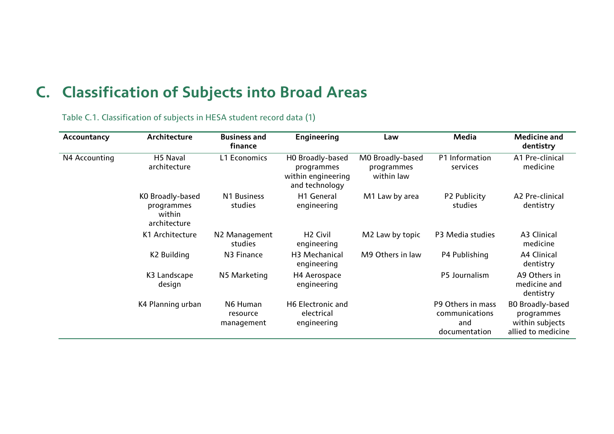## **C. Classification of Subjects into Broad Areas**

| Accountancy   | Architecture                                             | <b>Business and</b><br>finance     | <b>Engineering</b>                                                     | Law                                          | <b>Media</b>                                                | <b>Medicine and</b><br>dentistry                                               |
|---------------|----------------------------------------------------------|------------------------------------|------------------------------------------------------------------------|----------------------------------------------|-------------------------------------------------------------|--------------------------------------------------------------------------------|
| N4 Accounting | H5 Naval<br>architecture                                 | L1 Economics                       | HO Broadly-based<br>programmes<br>within engineering<br>and technology | MO Broadly-based<br>programmes<br>within law | P1 Information<br>services                                  | A1 Pre-clinical<br>medicine                                                    |
|               | KO Broadly-based<br>programmes<br>within<br>architecture | N1 Business<br>studies             | H1 General<br>engineering                                              | M1 Law by area                               | P2 Publicity<br>studies                                     | A2 Pre-clinical<br>dentistry                                                   |
|               | K1 Architecture                                          | N2 Management<br>studies           | H <sub>2</sub> Civil<br>engineering                                    | M2 Law by topic                              | P3 Media studies                                            | A3 Clinical<br>medicine                                                        |
|               | K2 Building                                              | N3 Finance                         | H3 Mechanical<br>engineering                                           | M9 Others in law                             | P4 Publishing                                               | A4 Clinical<br>dentistry                                                       |
|               | K3 Landscape<br>design                                   | N5 Marketing                       | H4 Aerospace<br>engineering                                            |                                              | P5 Journalism                                               | A9 Others in<br>medicine and<br>dentistry                                      |
|               | K4 Planning urban                                        | N6 Human<br>resource<br>management | H6 Electronic and<br>electrical<br>engineering                         |                                              | P9 Others in mass<br>communications<br>and<br>documentation | <b>BO Broadly-based</b><br>programmes<br>within subjects<br>allied to medicine |

Table C.1. Classification of subjects in HESA student record data (1)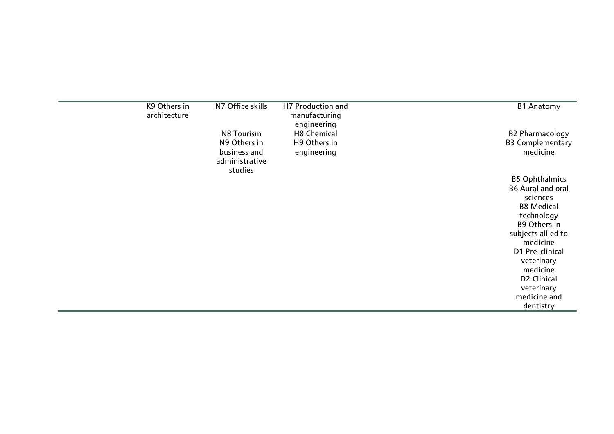| K9 Others in<br>architecture | N7 Office skills                                          | H7 Production and<br>manufacturing<br>engineering | <b>B1 Anatomy</b>                   |
|------------------------------|-----------------------------------------------------------|---------------------------------------------------|-------------------------------------|
|                              | N8 Tourism                                                | <b>H8 Chemical</b>                                | <b>B2 Pharmacology</b>              |
|                              | N9 Others in<br>business and<br>administrative<br>studies | H9 Others in<br>engineering                       | <b>B3 Complementary</b><br>medicine |
|                              |                                                           |                                                   | <b>B5 Ophthalmics</b>               |
|                              |                                                           |                                                   | <b>B6 Aural and oral</b>            |
|                              |                                                           |                                                   | sciences                            |
|                              |                                                           |                                                   | <b>B8 Medical</b>                   |
|                              |                                                           |                                                   | technology                          |
|                              |                                                           |                                                   | <b>B9 Others in</b>                 |
|                              |                                                           |                                                   | subjects allied to<br>medicine      |
|                              |                                                           |                                                   | D1 Pre-clinical                     |
|                              |                                                           |                                                   | veterinary                          |
|                              |                                                           |                                                   | medicine                            |
|                              |                                                           |                                                   | D2 Clinical                         |
|                              |                                                           |                                                   | veterinary                          |
|                              |                                                           |                                                   | medicine and                        |
|                              |                                                           |                                                   | dentistry                           |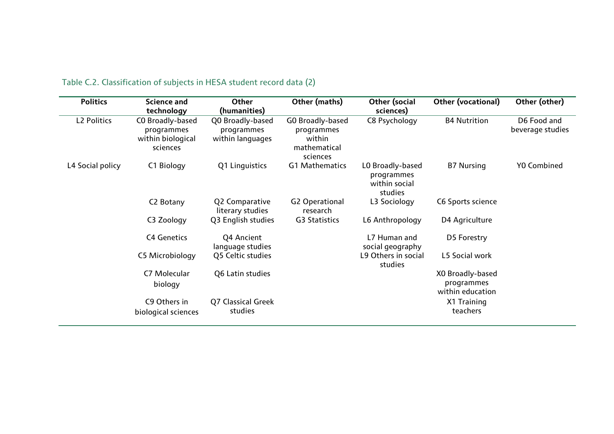| <b>Politics</b>    | <b>Science and</b><br>technology                                | Other<br>(humanities)                              | Other (maths)                                                        | Other (social<br>sciences)                                 | <b>Other (vocational)</b>                          | Other (other)                   |
|--------------------|-----------------------------------------------------------------|----------------------------------------------------|----------------------------------------------------------------------|------------------------------------------------------------|----------------------------------------------------|---------------------------------|
| <b>L2 Politics</b> | CO Broadly-based<br>programmes<br>within biological<br>sciences | Q0 Broadly-based<br>programmes<br>within languages | GO Broadly-based<br>programmes<br>within<br>mathematical<br>sciences | C8 Psychology                                              | <b>B4 Nutrition</b>                                | D6 Food and<br>beverage studies |
| L4 Social policy   | C1 Biology                                                      | Q1 Linguistics                                     | G1 Mathematics                                                       | LO Broadly-based<br>programmes<br>within social<br>studies | <b>B7 Nursing</b>                                  | <b>YO Combined</b>              |
|                    | C2 Botany                                                       | Q2 Comparative<br>literary studies                 | <b>G2 Operational</b><br>research                                    | L3 Sociology                                               | C6 Sports science                                  |                                 |
|                    | C3 Zoology                                                      | Q3 English studies                                 | <b>G3 Statistics</b>                                                 | L6 Anthropology                                            | D4 Agriculture                                     |                                 |
|                    | <b>C4 Genetics</b>                                              | Q4 Ancient<br>language studies                     |                                                                      | L7 Human and<br>social geography                           | D5 Forestry                                        |                                 |
|                    | C5 Microbiology                                                 | Q5 Celtic studies                                  |                                                                      | L9 Others in social<br>studies                             | L5 Social work                                     |                                 |
|                    | C7 Molecular<br>biology                                         | Q6 Latin studies                                   |                                                                      |                                                            | XO Broadly-based<br>programmes<br>within education |                                 |
|                    | C9 Others in<br>biological sciences                             | <b>Q7 Classical Greek</b><br>studies               |                                                                      |                                                            | X1 Training<br>teachers                            |                                 |

### Table C.2. Classification of subjects in HESA student record data (2)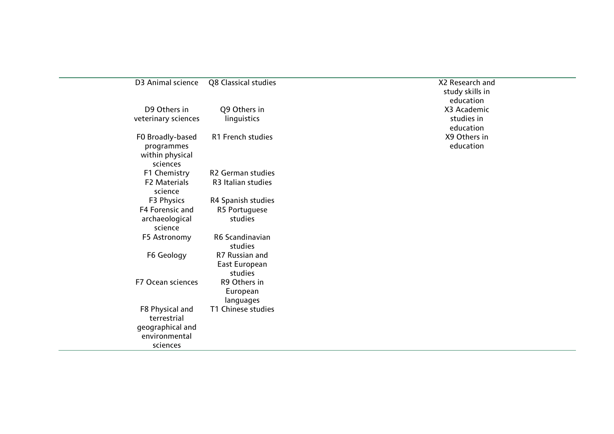| D3 Animal science                         | Q8 Classical studies       | X2 Re<br>stu<br>ec |
|-------------------------------------------|----------------------------|--------------------|
| D9 Others in                              | Q9 Others in               | X <sub>3</sub>     |
| veterinary sciences                       | linguistics                | st                 |
|                                           |                            | eo                 |
| FO Broadly-based                          | R1 French studies          | X9                 |
| programmes<br>within physical<br>sciences |                            | ec                 |
| F1 Chemistry                              | <b>R2 German studies</b>   |                    |
| <b>F2 Materials</b><br>science            | R3 Italian studies         |                    |
| F3 Physics                                | R4 Spanish studies         |                    |
| F4 Forensic and                           | R5 Portuguese              |                    |
| archaeological<br>science                 | studies                    |                    |
| F5 Astronomy                              | R6 Scandinavian<br>studies |                    |
| F6 Geology                                | R7 Russian and             |                    |
|                                           | East European              |                    |
|                                           | studies                    |                    |
| F7 Ocean sciences                         | R9 Others in<br>European   |                    |
|                                           | languages                  |                    |
| F8 Physical and<br>terrestrial            | T1 Chinese studies         |                    |
| geographical and<br>environmental         |                            |                    |
| sciences                                  |                            |                    |

**X2 Research and** study skills in education X3 Academic studies in education X9 Others in education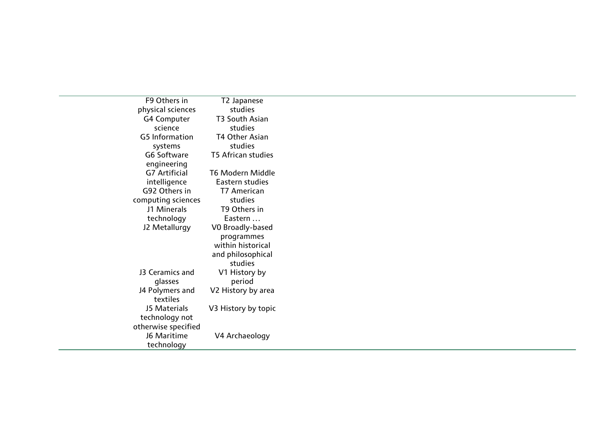| F9 Others in          | T2 Japanese               |
|-----------------------|---------------------------|
| physical sciences     | studies                   |
| <b>G4 Computer</b>    | T3 South Asian            |
| science               | studies                   |
| <b>G5</b> Information | <b>T4 Other Asian</b>     |
| systems               | studies                   |
| <b>G6 Software</b>    | <b>T5 African studies</b> |
| engineering           |                           |
| <b>G7 Artificial</b>  | T6 Modern Middle          |
| intelligence          | Eastern studies           |
| G92 Others in         | T7 American               |
| computing sciences    | studies                   |
| J1 Minerals           | T9 Others in              |
| technology            | Eastern                   |
| J2 Metallurgy         | VO Broadly-based          |
|                       | programmes                |
|                       | within historical         |
|                       | and philosophical         |
|                       | studies                   |
| 13 Ceramics and       | V1 History by             |
| glasses               | period                    |
| J4 Polymers and       | V2 History by area        |
| textiles              |                           |
| <b>J5 Materials</b>   | V3 History by topic       |
| technology not        |                           |
| otherwise specified   |                           |
| J6 Maritime           | V4 Archaeology            |
| technology            |                           |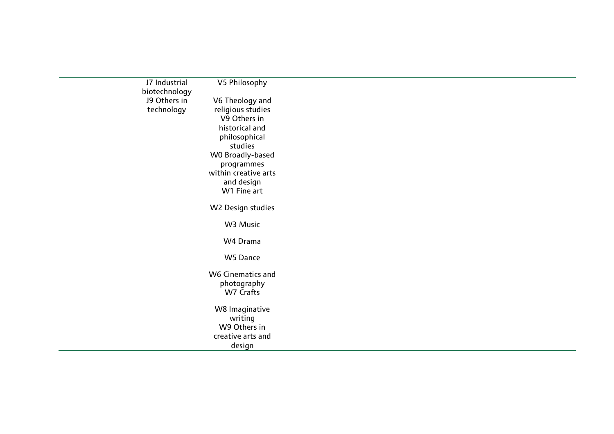| J7 Industrial | V5 Philosophy            |
|---------------|--------------------------|
| biotechnology |                          |
| J9 Others in  | V6 Theology and          |
| technology    | religious studies        |
|               | V9 Others in             |
|               | historical and           |
|               | philosophical            |
|               | studies                  |
|               | WO Broadly-based         |
|               | programmes               |
|               | within creative arts     |
|               | and design               |
|               | W1 Fine art              |
|               | W2 Design studies        |
|               | W3 Music                 |
|               | W4 Drama                 |
|               | W5 Dance                 |
|               | <b>W6 Cinematics and</b> |
|               | photography              |
|               | W7 Crafts                |
|               | W8 Imaginative           |
|               | writing                  |
|               | W9 Others in             |
|               | creative arts and        |
|               | design                   |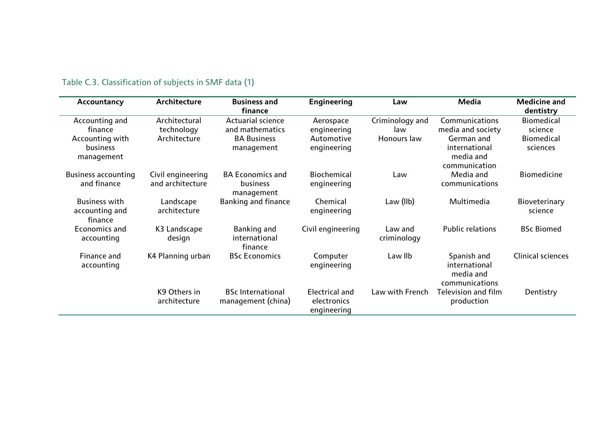| Accountancy                | Architecture<br><b>Business and</b> |                            | Engineering           | Law             | <b>Media</b>            | <b>Medicine and</b>      |
|----------------------------|-------------------------------------|----------------------------|-----------------------|-----------------|-------------------------|--------------------------|
|                            |                                     | finance                    |                       |                 |                         | dentistry                |
| Accounting and             | Architectural                       | <b>Actuarial science</b>   | Aerospace             | Criminology and | Communications          | <b>Biomedical</b>        |
| finance                    | technology                          | and mathematics            | engineering           | law             | media and society       | science                  |
| Accounting with            | Architecture                        | <b>BA Business</b>         | Automotive            | Honours law     | German and              | <b>Biomedical</b>        |
| <b>business</b>            |                                     | management                 | engineering           |                 | international           | sciences                 |
| management                 |                                     |                            |                       |                 | media and               |                          |
|                            |                                     |                            |                       |                 | communication           |                          |
| <b>Business accounting</b> | Civil engineering                   | <b>BA Economics and</b>    | <b>Biochemical</b>    | Law             | Media and               | <b>Biomedicine</b>       |
| and finance                | and architecture                    | business                   | engineering           |                 | communications          |                          |
|                            |                                     | management                 |                       |                 |                         |                          |
| <b>Business with</b>       | Landscape                           | <b>Banking and finance</b> | Chemical              | Law $(IIb)$     | Multimedia              | Bioveterinary            |
| accounting and             | architecture                        |                            | engineering           |                 |                         | science                  |
| finance                    |                                     |                            |                       |                 |                         |                          |
| Economics and              | K3 Landscape                        | Banking and                | Civil engineering     | Law and         | <b>Public relations</b> | <b>BSc Biomed</b>        |
| accounting                 | design                              | international              |                       | criminology     |                         |                          |
|                            |                                     | finance                    |                       |                 |                         |                          |
| Finance and                | K4 Planning urban                   | <b>BSc Economics</b>       | Computer              | Law IIb         | Spanish and             | <b>Clinical sciences</b> |
| accounting                 |                                     |                            | engineering           |                 | international           |                          |
|                            |                                     |                            |                       |                 | media and               |                          |
|                            |                                     |                            |                       |                 | communications          |                          |
|                            | K9 Others in                        | <b>BSc International</b>   | <b>Electrical and</b> | Law with French | Television and film     | Dentistry                |
|                            | architecture                        | management (china)         | electronics           |                 | production              |                          |
|                            |                                     |                            | engineering           |                 |                         |                          |

### Table C.3. Classification of subjects in SMF data (1)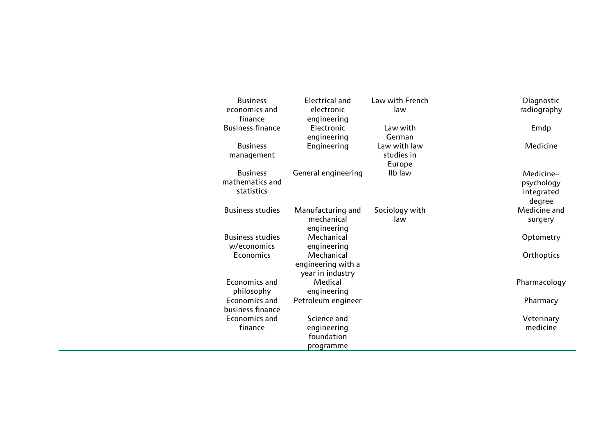| <b>Business</b>         | <b>Electrical and</b>      | Law with French | Diagnostic   |
|-------------------------|----------------------------|-----------------|--------------|
| economics and           | electronic                 | law             | radiography  |
| finance                 | engineering                |                 |              |
| <b>Business finance</b> | Electronic                 | Law with        | Emdp         |
|                         | engineering                | German          |              |
| <b>Business</b>         | Engineering                | Law with law    | Medicine     |
| management              |                            | studies in      |              |
|                         |                            | Europe          |              |
| <b>Business</b>         | <b>General engineering</b> | IIb law         | Medicine-    |
| mathematics and         |                            |                 | psychology   |
| statistics              |                            |                 | integrated   |
|                         |                            |                 | degree       |
| <b>Business studies</b> | Manufacturing and          | Sociology with  | Medicine and |
|                         | mechanical                 | law             | surgery      |
|                         | engineering                |                 |              |
| <b>Business studies</b> | Mechanical                 |                 | Optometry    |
| w/economics             | engineering                |                 |              |
| <b>Economics</b>        | Mechanical                 |                 | Orthoptics   |
|                         | engineering with a         |                 |              |
|                         | year in industry           |                 |              |
| <b>Economics and</b>    | Medical                    |                 | Pharmacology |
| philosophy              | engineering                |                 |              |
| <b>Economics and</b>    | Petroleum engineer         |                 | Pharmacy     |
| business finance        |                            |                 |              |
| Economics and           | Science and                |                 | Veterinary   |
| finance                 | engineering                |                 | medicine     |
|                         | foundation                 |                 |              |
|                         | programme                  |                 |              |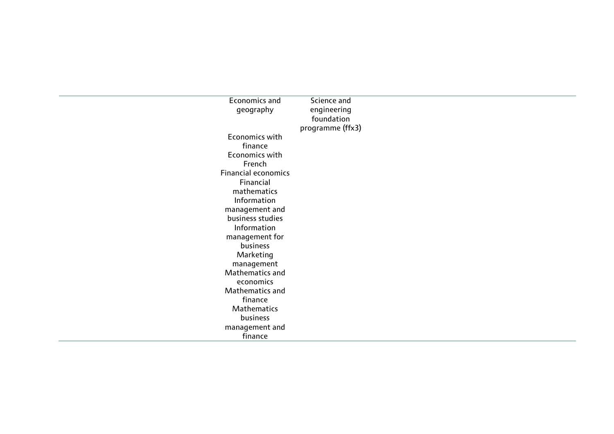| Economics and              | Science and      |
|----------------------------|------------------|
| geography                  | engineering      |
|                            | foundation       |
|                            | programme (ffx3) |
| Economics with             |                  |
| finance                    |                  |
| Economics with             |                  |
| French                     |                  |
| <b>Financial economics</b> |                  |
| Financial                  |                  |
| mathematics                |                  |
| Information                |                  |
| management and             |                  |
| business studies           |                  |
| Information                |                  |
| management for             |                  |
| business                   |                  |
| Marketing                  |                  |
| management                 |                  |
| Mathematics and            |                  |
| economics                  |                  |
| Mathematics and            |                  |
| finance                    |                  |
| Mathematics                |                  |
| business                   |                  |
| management and             |                  |
| finance                    |                  |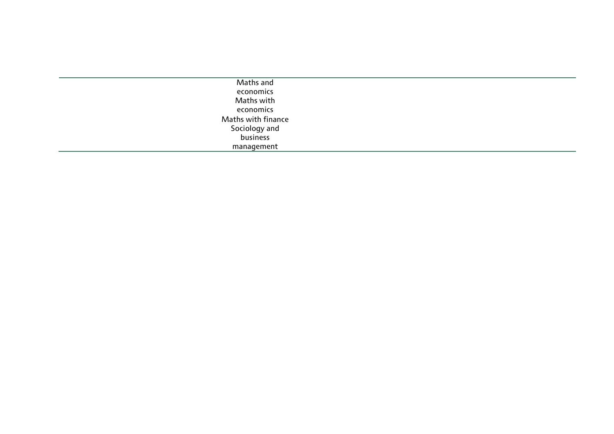| Maths and          |  |
|--------------------|--|
| economics          |  |
| Maths with         |  |
| economics          |  |
| Maths with finance |  |
| Sociology and      |  |
| business           |  |
| management         |  |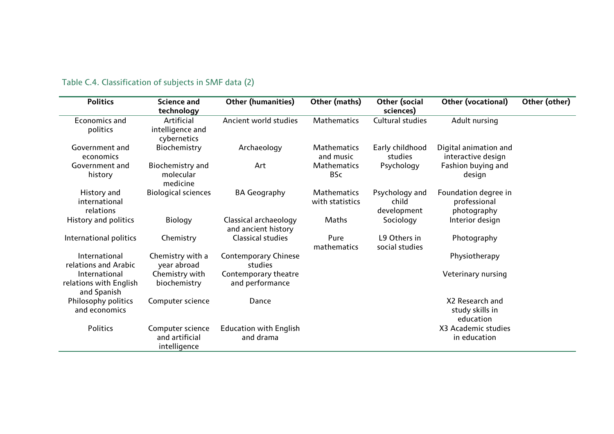| <b>Politics</b>                                        | <b>Science and</b><br>technology                   | <b>Other (humanities)</b>                    | Other (maths)                         | Other (social<br>sciences)             | Other (vocational)                                  | Other (other) |
|--------------------------------------------------------|----------------------------------------------------|----------------------------------------------|---------------------------------------|----------------------------------------|-----------------------------------------------------|---------------|
| <b>Economics and</b><br>politics                       | Artificial<br>intelligence and<br>cybernetics      | Ancient world studies                        | Mathematics                           | Cultural studies                       | Adult nursing                                       |               |
| Government and<br>economics                            | Biochemistry                                       | Archaeology                                  | <b>Mathematics</b><br>and music       | Early childhood<br>studies             | Digital animation and<br>interactive design         |               |
| Government and<br>history                              | Biochemistry and<br>molecular<br>medicine          | Art                                          | <b>Mathematics</b><br><b>BSc</b>      | Psychology                             | Fashion buying and<br>design                        |               |
| History and<br>international<br>relations              | <b>Biological sciences</b>                         | <b>BA Geography</b>                          | <b>Mathematics</b><br>with statistics | Psychology and<br>child<br>development | Foundation degree in<br>professional<br>photography |               |
| History and politics                                   | <b>Biology</b>                                     | Classical archaeology<br>and ancient history | Maths                                 | Sociology                              | Interior design                                     |               |
| International politics                                 | Chemistry                                          | <b>Classical studies</b>                     | Pure<br>mathematics                   | L9 Others in<br>social studies         | Photography                                         |               |
| International<br>relations and Arabic                  | Chemistry with a<br>year abroad                    | <b>Contemporary Chinese</b><br>studies       |                                       |                                        | Physiotherapy                                       |               |
| International<br>relations with English<br>and Spanish | Chemistry with<br>biochemistry                     | Contemporary theatre<br>and performance      |                                       |                                        | Veterinary nursing                                  |               |
| Philosophy politics<br>and economics                   | Computer science                                   | Dance                                        |                                       |                                        | X2 Research and<br>study skills in<br>education     |               |
| Politics                                               | Computer science<br>and artificial<br>intelligence | <b>Education with English</b><br>and drama   |                                       |                                        | X3 Academic studies<br>in education                 |               |

### Table C.4. Classification of subjects in SMF data (2)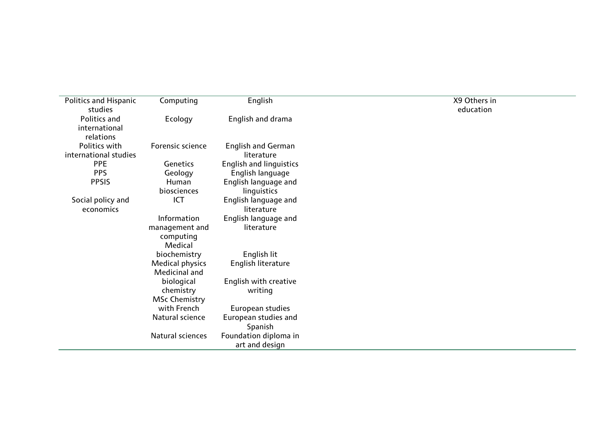| <b>Politics and Hispanic</b> | Computing              | English                        | X9 Others in |
|------------------------------|------------------------|--------------------------------|--------------|
| studies<br>Politics and      | Ecology                | English and drama              | education    |
| international                |                        |                                |              |
| relations                    |                        |                                |              |
| Politics with                | Forensic science       | <b>English and German</b>      |              |
| international studies        |                        | literature                     |              |
| <b>PPE</b>                   | <b>Genetics</b>        | <b>English and linguistics</b> |              |
| <b>PPS</b>                   | Geology                | English language               |              |
| <b>PPSIS</b>                 | Human                  | English language and           |              |
|                              | biosciences            | linguistics                    |              |
| Social policy and            | ICT                    | English language and           |              |
| economics                    |                        | literature                     |              |
|                              | Information            | English language and           |              |
|                              | management and         | literature                     |              |
|                              | computing              |                                |              |
|                              | Medical                |                                |              |
|                              | biochemistry           | English lit                    |              |
|                              | <b>Medical physics</b> | English literature             |              |
|                              | Medicinal and          |                                |              |
|                              | biological             | English with creative          |              |
|                              | chemistry              | writing                        |              |
|                              | <b>MSc Chemistry</b>   |                                |              |
|                              | with French            | European studies               |              |
|                              | Natural science        | European studies and           |              |
|                              |                        | Spanish                        |              |
|                              | Natural sciences       | Foundation diploma in          |              |
|                              |                        | art and design                 |              |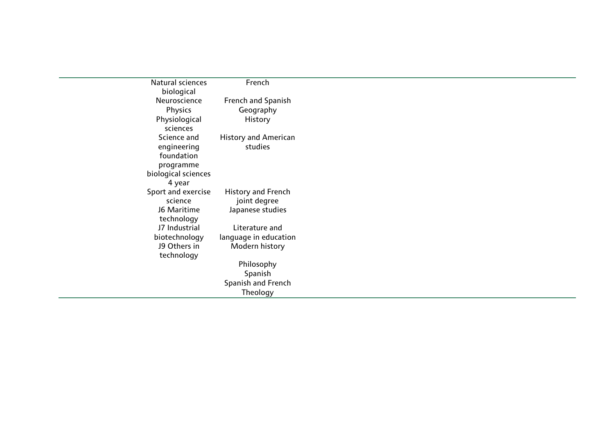| Natural sciences    | French                      |
|---------------------|-----------------------------|
| biological          |                             |
| Neuroscience        | French and Spanish          |
| Physics             | Geography                   |
| Physiological       | History                     |
| sciences            |                             |
| Science and         | <b>History and American</b> |
| engineering         | studies                     |
| foundation          |                             |
| programme           |                             |
| biological sciences |                             |
| 4 year              |                             |
| Sport and exercise  | <b>History and French</b>   |
| science             | joint degree                |
| <b>J6 Maritime</b>  | Japanese studies            |
| technology          |                             |
| J7 Industrial       | Literature and              |
| biotechnology       | language in education       |
| J9 Others in        | Modern history              |
| technology          |                             |
|                     | Philosophy                  |
|                     | Spanish                     |
|                     | Spanish and French          |
|                     | Theology                    |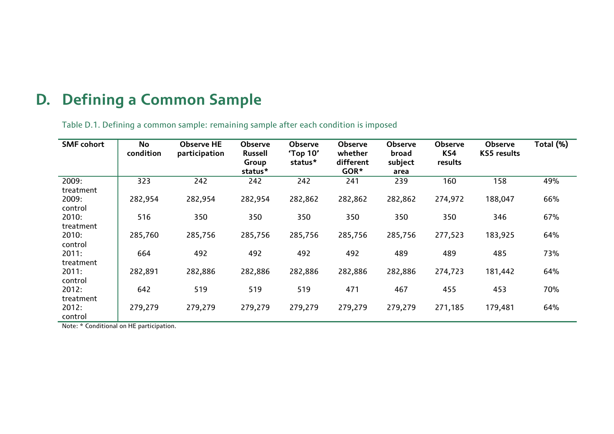## **D. Defining a Common Sample**

Table D.1. Defining a common sample: remaining sample after each condition is imposed

| <b>SMF</b> cohort  | No<br>condition | <b>Observe HE</b><br>participation | <b>Observe</b><br><b>Russell</b><br>Group<br>status* | <b>Observe</b><br>'Top 10'<br>status* | <b>Observe</b><br>whether<br>different<br>GOR* | <b>Observe</b><br>broad<br>subject<br>area | <b>Observe</b><br>KS4<br>results | Observe<br><b>KS5</b> results | Total (%) |
|--------------------|-----------------|------------------------------------|------------------------------------------------------|---------------------------------------|------------------------------------------------|--------------------------------------------|----------------------------------|-------------------------------|-----------|
| 2009:<br>treatment | 323             | 242                                | 242                                                  | 242                                   | 241                                            | 239                                        | 160                              | 158                           | 49%       |
| 2009:<br>control   | 282,954         | 282,954                            | 282,954                                              | 282,862                               | 282,862                                        | 282,862                                    | 274,972                          | 188,047                       | 66%       |
| 2010:<br>treatment | 516             | 350                                | 350                                                  | 350                                   | 350                                            | 350                                        | 350                              | 346                           | 67%       |
| 2010:<br>control   | 285,760         | 285,756                            | 285,756                                              | 285,756                               | 285,756                                        | 285,756                                    | 277,523                          | 183,925                       | 64%       |
| 2011:<br>treatment | 664             | 492                                | 492                                                  | 492                                   | 492                                            | 489                                        | 489                              | 485                           | 73%       |
| 2011:<br>control   | 282,891         | 282,886                            | 282,886                                              | 282,886                               | 282,886                                        | 282,886                                    | 274,723                          | 181,442                       | 64%       |
| 2012:<br>treatment | 642             | 519                                | 519                                                  | 519                                   | 471                                            | 467                                        | 455                              | 453                           | 70%       |
| 2012:<br>control   | 279,279         | 279,279                            | 279,279                                              | 279,279                               | 279,279                                        | 279,279                                    | 271,185                          | 179,481                       | 64%       |

Note: \* Conditional on HE participation.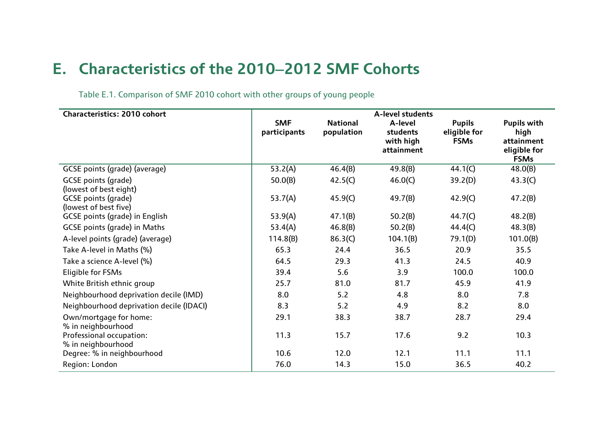### **E. Characteristics of the 2010**−**2012 SMF Cohorts**

Table E.1. Comparison of SMF 2010 cohort with other groups of young people

| <b>Characteristics: 2010 cohort</b>            | A-level students           |                               |                                                |                                              |                                                                         |  |
|------------------------------------------------|----------------------------|-------------------------------|------------------------------------------------|----------------------------------------------|-------------------------------------------------------------------------|--|
|                                                | <b>SMF</b><br>participants | <b>National</b><br>population | A-level<br>students<br>with high<br>attainment | <b>Pupils</b><br>eligible for<br><b>FSMs</b> | <b>Pupils with</b><br>high<br>attainment<br>eligible for<br><b>FSMs</b> |  |
| GCSE points (grade) (average)                  | 53.2(A)                    | 46.4(B)                       | 49.8(B)                                        | 44.1(C)                                      | 48.0(B)                                                                 |  |
| GCSE points (grade)<br>(lowest of best eight)  | 50.0(B)                    | 42.5(C)                       | 46.0(C)                                        | 39.2(D)                                      | 43.3(C)                                                                 |  |
| GCSE points (grade)<br>(lowest of best five)   | 53.7(A)                    | 45.9(C)                       | 49.7(B)                                        | 42.9(C)                                      | 47.2(B)                                                                 |  |
| <b>GCSE</b> points (grade) in English          | 53.9(A)                    | 47.1(B)                       | 50.2(B)                                        | 44.7(C)                                      | 48.2(B)                                                                 |  |
| <b>GCSE points (grade) in Maths</b>            | 53.4(A)                    | 46.8(B)                       | 50.2(B)                                        | 44.4(C)                                      | 48.3(B)                                                                 |  |
| A-level points (grade) (average)               | 114.8(B)                   | 86.3(C)                       | 104.1(B)                                       | 79.1(D)                                      | 101.0(B)                                                                |  |
| Take A-level in Maths (%)                      | 65.3                       | 24.4                          | 36.5                                           | 20.9                                         | 35.5                                                                    |  |
| Take a science A-level (%)                     | 64.5                       | 29.3                          | 41.3                                           | 24.5                                         | 40.9                                                                    |  |
| Eligible for FSMs                              | 39.4                       | 5.6                           | 3.9                                            | 100.0                                        | 100.0                                                                   |  |
| White British ethnic group                     | 25.7                       | 81.0                          | 81.7                                           | 45.9                                         | 41.9                                                                    |  |
| Neighbourhood deprivation decile (IMD)         | 8.0                        | 5.2                           | 4.8                                            | 8.0                                          | 7.8                                                                     |  |
| Neighbourhood deprivation decile (IDACI)       | 8.3                        | 5.2                           | 4.9                                            | 8.2                                          | 8.0                                                                     |  |
| Own/mortgage for home:<br>% in neighbourhood   | 29.1                       | 38.3                          | 38.7                                           | 28.7                                         | 29.4                                                                    |  |
| Professional occupation:<br>% in neighbourhood | 11.3                       | 15.7                          | 17.6                                           | 9.2                                          | 10.3                                                                    |  |
| Degree: % in neighbourhood                     | 10.6                       | 12.0                          | 12.1                                           | 11.1                                         | 11.1                                                                    |  |
| Region: London                                 | 76.0                       | 14.3                          | 15.0                                           | 36.5                                         | 40.2                                                                    |  |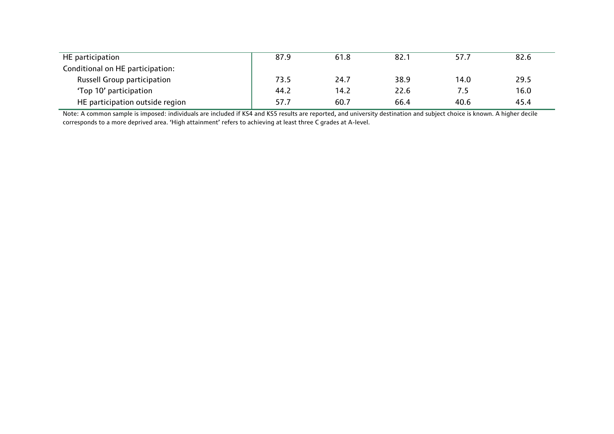| HE participation                   | 87.9 | 61.8 | 82.1 | 57.7 | 82.6 |
|------------------------------------|------|------|------|------|------|
| Conditional on HE participation:   |      |      |      |      |      |
| <b>Russell Group participation</b> | 73.5 | 24.7 | 38.9 | 14.0 | 29.5 |
| 'Top 10' participation             | 44.2 | 14.2 | 22.6 |      | 16.0 |
| HE participation outside region    | 57.7 | 60.7 | 66.4 | 40.6 | 45.4 |

Note: A common sample is imposed: individuals are included if KS4 and KS5 results are reported, and university destination and subject choice is known. A higher decile corresponds to a more deprived area. 'High attainment' refers to achieving at least three C grades at A-level.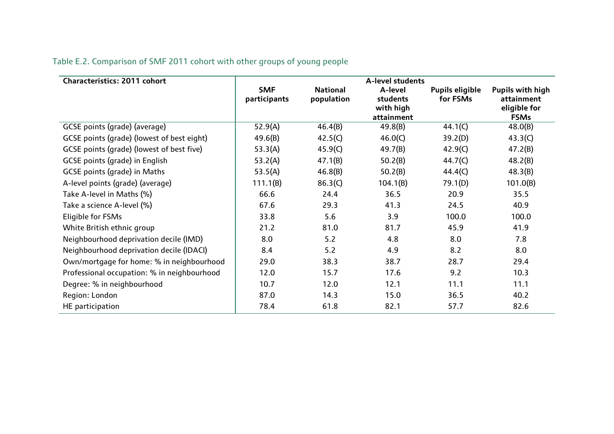| Characteristics: 2011 cohort                | A-level students           |                               |                                                |                             |                                                               |  |
|---------------------------------------------|----------------------------|-------------------------------|------------------------------------------------|-----------------------------|---------------------------------------------------------------|--|
|                                             | <b>SMF</b><br>participants | <b>National</b><br>population | A-level<br>students<br>with high<br>attainment | Pupils eligible<br>for FSMs | Pupils with high<br>attainment<br>eligible for<br><b>FSMs</b> |  |
| GCSE points (grade) (average)               | 52.9(A)                    | 46.4(B)                       | 49.8(B)                                        | 44.1(C)                     | 48.0(B)                                                       |  |
| GCSE points (grade) (lowest of best eight)  | 49.6(B)                    | 42.5(C)                       | 46.0(C)                                        | 39.2(D)                     | 43.3(C)                                                       |  |
| GCSE points (grade) (lowest of best five)   | 53.3(A)                    | 45.9(C)                       | 49.7(B)                                        | 42.9(C)                     | 47.2(B)                                                       |  |
| <b>GCSE</b> points (grade) in English       | 53.2(A)                    | 47.1(B)                       | 50.2(B)                                        | 44.7(C)                     | 48.2(B)                                                       |  |
| GCSE points (grade) in Maths                | 53.5(A)                    | 46.8(B)                       | 50.2(B)                                        | 44.4(C)                     | 48.3(B)                                                       |  |
| A-level points (grade) (average)            | 111.1(B)                   | 86.3(C)                       | 104.1(B)                                       | 79.1(D)                     | 101.0(B)                                                      |  |
| Take A-level in Maths (%)                   | 66.6                       | 24.4                          | 36.5                                           | 20.9                        | 35.5                                                          |  |
| Take a science A-level (%)                  | 67.6                       | 29.3                          | 41.3                                           | 24.5                        | 40.9                                                          |  |
| Eligible for FSMs                           | 33.8                       | 5.6                           | 3.9                                            | 100.0                       | 100.0                                                         |  |
| White British ethnic group                  | 21.2                       | 81.0                          | 81.7                                           | 45.9                        | 41.9                                                          |  |
| Neighbourhood deprivation decile (IMD)      | 8.0                        | 5.2                           | 4.8                                            | 8.0                         | 7.8                                                           |  |
| Neighbourhood deprivation decile (IDACI)    | 8.4                        | 5.2                           | 4.9                                            | 8.2                         | 8.0                                                           |  |
| Own/mortgage for home: % in neighbourhood   | 29.0                       | 38.3                          | 38.7                                           | 28.7                        | 29.4                                                          |  |
| Professional occupation: % in neighbourhood | 12.0                       | 15.7                          | 17.6                                           | 9.2                         | 10.3                                                          |  |
| Degree: % in neighbourhood                  | 10.7                       | 12.0                          | 12.1                                           | 11.1                        | 11.1                                                          |  |
| Region: London                              | 87.0                       | 14.3                          | 15.0                                           | 36.5                        | 40.2                                                          |  |
| HE participation                            | 78.4                       | 61.8                          | 82.1                                           | 57.7                        | 82.6                                                          |  |

### Table E.2. Comparison of SMF 2011 cohort with other groups of young people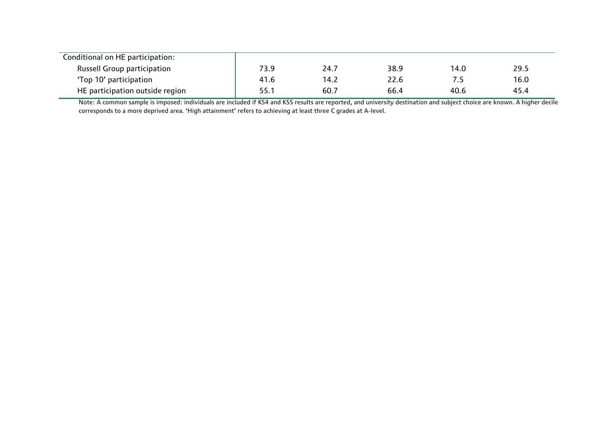| Conditional on HE participation:   |      |      |      |      |      |
|------------------------------------|------|------|------|------|------|
| <b>Russell Group participation</b> | 73.9 | 24.7 | 38.9 | 14.0 | 29.5 |
| 'Top 10' participation             | 41.6 | 14.2 | 22.6 |      | 16.0 |
| HE participation outside region    | 55.1 | 60.7 | 66.4 | 40.6 | 45.4 |

Note: A common sample is imposed: individuals are included if KS4 and KS5 results are reported, and university destination and subject choice are known. A higher decile corresponds to a more deprived area. 'High attainment' refers to achieving at least three C grades at A-level.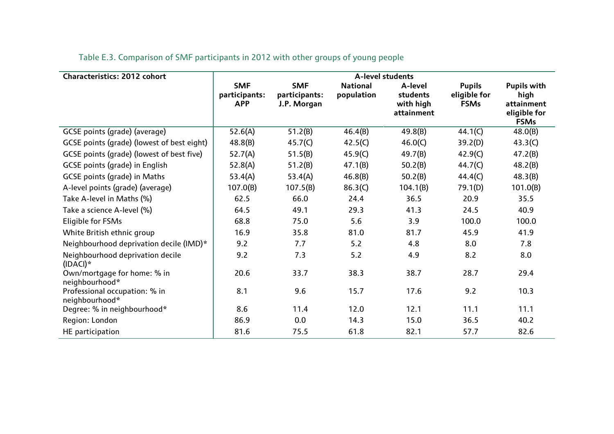| <b>Characteristics: 2012 cohort</b>             | A-level students                          |                                            |                               |                                                |                                              |                                                                         |
|-------------------------------------------------|-------------------------------------------|--------------------------------------------|-------------------------------|------------------------------------------------|----------------------------------------------|-------------------------------------------------------------------------|
|                                                 | <b>SMF</b><br>participants:<br><b>APP</b> | <b>SMF</b><br>participants:<br>J.P. Morgan | <b>National</b><br>population | A-level<br>students<br>with high<br>attainment | <b>Pupils</b><br>eligible for<br><b>FSMs</b> | <b>Pupils with</b><br>high<br>attainment<br>eligible for<br><b>FSMs</b> |
| GCSE points (grade) (average)                   | 52.6(A)                                   | 51.2(B)                                    | 46.4(B)                       | 49.8(B)                                        | 44.1(C)                                      | 48.0(B)                                                                 |
| GCSE points (grade) (lowest of best eight)      | 48.8(B)                                   | 45.7(C)                                    | 42.5(C)                       | 46.0(C)                                        | 39.2(D)                                      | 43.3(C)                                                                 |
| GCSE points (grade) (lowest of best five)       | 52.7(A)                                   | 51.5(B)                                    | 45.9(C)                       | 49.7(B)                                        | 42.9(C)                                      | 47.2(B)                                                                 |
| GCSE points (grade) in English                  | 52.8(A)                                   | 51.2(B)                                    | 47.1(B)                       | 50.2(B)                                        | 44.7(C)                                      | 48.2(B)                                                                 |
| <b>GCSE points (grade) in Maths</b>             | 53.4(A)                                   | 53.4(A)                                    | 46.8(B)                       | 50.2(B)                                        | 44.4(C)                                      | 48.3(B)                                                                 |
| A-level points (grade) (average)                | 107.0(B)                                  | 107.5(B)                                   | 86.3(C)                       | 104.1(B)                                       | 79.1(D)                                      | 101.0(B)                                                                |
| Take A-level in Maths (%)                       | 62.5                                      | 66.0                                       | 24.4                          | 36.5                                           | 20.9                                         | 35.5                                                                    |
| Take a science A-level (%)                      | 64.5                                      | 49.1                                       | 29.3                          | 41.3                                           | 24.5                                         | 40.9                                                                    |
| Eligible for FSMs                               | 68.8                                      | 75.0                                       | 5.6                           | 3.9                                            | 100.0                                        | 100.0                                                                   |
| White British ethnic group                      | 16.9                                      | 35.8                                       | 81.0                          | 81.7                                           | 45.9                                         | 41.9                                                                    |
| Neighbourhood deprivation decile (IMD)*         | 9.2                                       | 7.7                                        | 5.2                           | 4.8                                            | 8.0                                          | 7.8                                                                     |
| Neighbourhood deprivation decile<br>$(IDACI)*$  | 9.2                                       | 7.3                                        | 5.2                           | 4.9                                            | 8.2                                          | 8.0                                                                     |
| Own/mortgage for home: % in<br>neighbourhood*   | 20.6                                      | 33.7                                       | 38.3                          | 38.7                                           | 28.7                                         | 29.4                                                                    |
| Professional occupation: % in<br>neighbourhood* | 8.1                                       | 9.6                                        | 15.7                          | 17.6                                           | 9.2                                          | 10.3                                                                    |
| Degree: % in neighbourhood*                     | 8.6                                       | 11.4                                       | 12.0                          | 12.1                                           | 11.1                                         | 11.1                                                                    |
| Region: London                                  | 86.9                                      | 0.0                                        | 14.3                          | 15.0                                           | 36.5                                         | 40.2                                                                    |
| HE participation                                | 81.6                                      | 75.5                                       | 61.8                          | 82.1                                           | 57.7                                         | 82.6                                                                    |

Table E.3. Comparison of SMF participants in 2012 with other groups of young people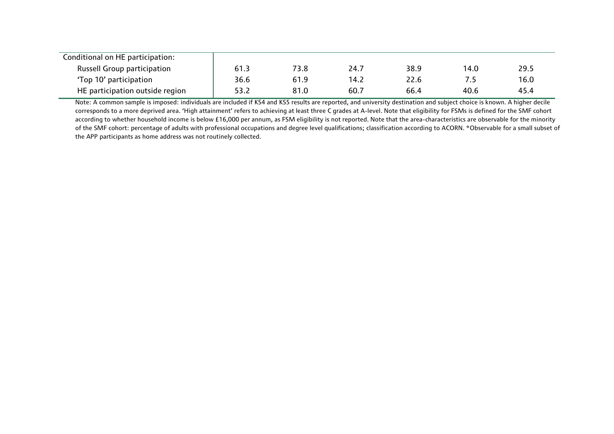| Conditional on HE participation:   |      |      |      |      |      |      |
|------------------------------------|------|------|------|------|------|------|
| <b>Russell Group participation</b> | 61.3 | 73.8 | 24.7 | 38.9 | 14.0 | 29.5 |
| 'Top 10' participation             | 36.6 | 61.9 | 14.2 | 22.6 |      | 16.0 |
| HE participation outside region    | 53.2 | 81.0 | 60.7 | 66.4 | 40.6 | 45.4 |

Note: A common sample is imposed: individuals are included if KS4 and KS5 results are reported, and university destination and subject choice is known. A higher decile corresponds to a more deprived area. 'High attainment' refers to achieving at least three C grades at A-level. Note that eligibility for FSMs is defined for the SMF cohort according to whether household income is below £16,000 per annum, as FSM eligibility is not reported. Note that the area-characteristics are observable for the minority of the SMF cohort: percentage of adults with professional occupations and degree level qualifications; classification according to ACORN. \*Observable for a small subset of the APP participants as home address was not routinely collected.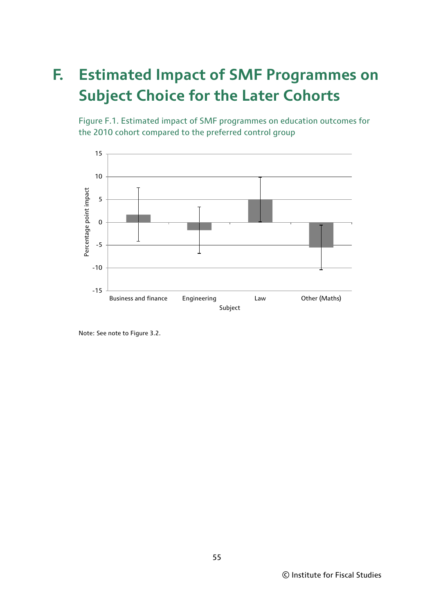## **F. Estimated Impact of SMF Programmes on Subject Choice for the Later Cohorts**

Figure F.1. Estimated impact of SMF programmes on education outcomes for the 2010 cohort compared to the preferred control group



Note: See note to Figure 3.2.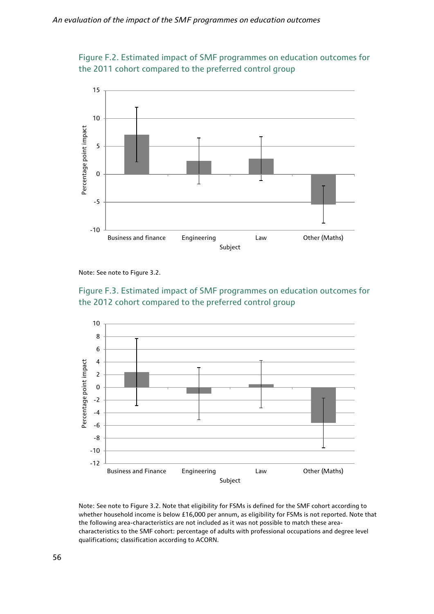



Note: See note to Figure 3.2.





Note: See note to Figure 3.2. Note that eligibility for FSMs is defined for the SMF cohort according to whether household income is below £16,000 per annum, as eligibility for FSMs is not reported. Note that the following area-characteristics are not included as it was not possible to match these areacharacteristics to the SMF cohort: percentage of adults with professional occupations and degree level qualifications; classification according to ACORN.